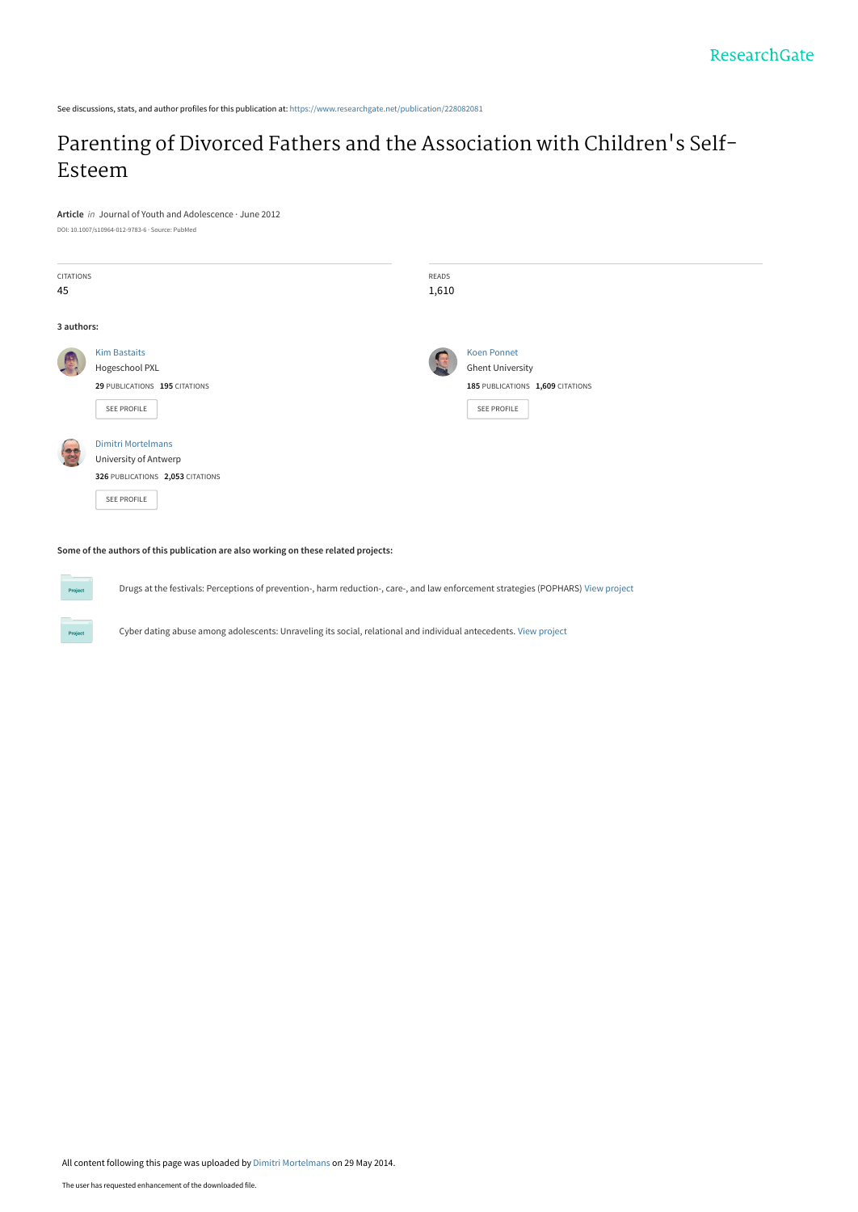See discussions, stats, and author profiles for this publication at: [https://www.researchgate.net/publication/228082081](https://www.researchgate.net/publication/228082081_Parenting_of_Divorced_Fathers_and_the_Association_with_Children%27s_Self-Esteem?enrichId=rgreq-ce4edef264dc0f4cdcd4fd659d31bb2f-XXX&enrichSource=Y292ZXJQYWdlOzIyODA4MjA4MTtBUzoxMDIwNTU3Mjk0MzQ2MjVAMTQwMTM0MzM5MDE0Mg%3D%3D&el=1_x_2&_esc=publicationCoverPdf)

# [Parenting of Divorced Fathers and the Association with Children](https://www.researchgate.net/publication/228082081_Parenting_of_Divorced_Fathers_and_the_Association_with_Children%27s_Self-Esteem?enrichId=rgreq-ce4edef264dc0f4cdcd4fd659d31bb2f-XXX&enrichSource=Y292ZXJQYWdlOzIyODA4MjA4MTtBUzoxMDIwNTU3Mjk0MzQ2MjVAMTQwMTM0MzM5MDE0Mg%3D%3D&el=1_x_3&_esc=publicationCoverPdf)'s Self-Esteem

**Article** in Journal of Youth and Adolescence · June 2012

DOI: 10.1007/s10964-012-9783-6 · Source: PubMed

**Project** 

| CITATIONS  |                                  | READS |                                  |
|------------|----------------------------------|-------|----------------------------------|
| 45         |                                  | 1,610 |                                  |
| 3 authors: |                                  |       |                                  |
|            | <b>Kim Bastaits</b>              |       | <b>Koen Ponnet</b>               |
|            | Hogeschool PXL                   |       | <b>Ghent University</b>          |
|            | 29 PUBLICATIONS 195 CITATIONS    |       | 185 PUBLICATIONS 1,609 CITATIONS |
|            | SEE PROFILE                      |       | SEE PROFILE                      |
|            | <b>Dimitri Mortelmans</b>        |       |                                  |
|            | University of Antwerp            |       |                                  |
|            | 326 PUBLICATIONS 2,053 CITATIONS |       |                                  |
|            | SEE PROFILE                      |       |                                  |

**Some of the authors of this publication are also working on these related projects:**

Drugs at the festivals: Perceptions of prevention-, harm reduction-, care-, and law enforcement strategies (POPHARS) [View project](https://www.researchgate.net/project/Drugs-at-the-festivals-Perceptions-of-prevention-harm-reduction-care-and-law-enforcement-strategies-POPHARS?enrichId=rgreq-ce4edef264dc0f4cdcd4fd659d31bb2f-XXX&enrichSource=Y292ZXJQYWdlOzIyODA4MjA4MTtBUzoxMDIwNTU3Mjk0MzQ2MjVAMTQwMTM0MzM5MDE0Mg%3D%3D&el=1_x_9&_esc=publicationCoverPdf)

Cyber dating abuse among adolescents: Unraveling its social, relational and individual antecedents. [View project](https://www.researchgate.net/project/Cyber-dating-abuse-among-adolescents-Unraveling-its-social-relational-and-individual-antecedents?enrichId=rgreq-ce4edef264dc0f4cdcd4fd659d31bb2f-XXX&enrichSource=Y292ZXJQYWdlOzIyODA4MjA4MTtBUzoxMDIwNTU3Mjk0MzQ2MjVAMTQwMTM0MzM5MDE0Mg%3D%3D&el=1_x_9&_esc=publicationCoverPdf)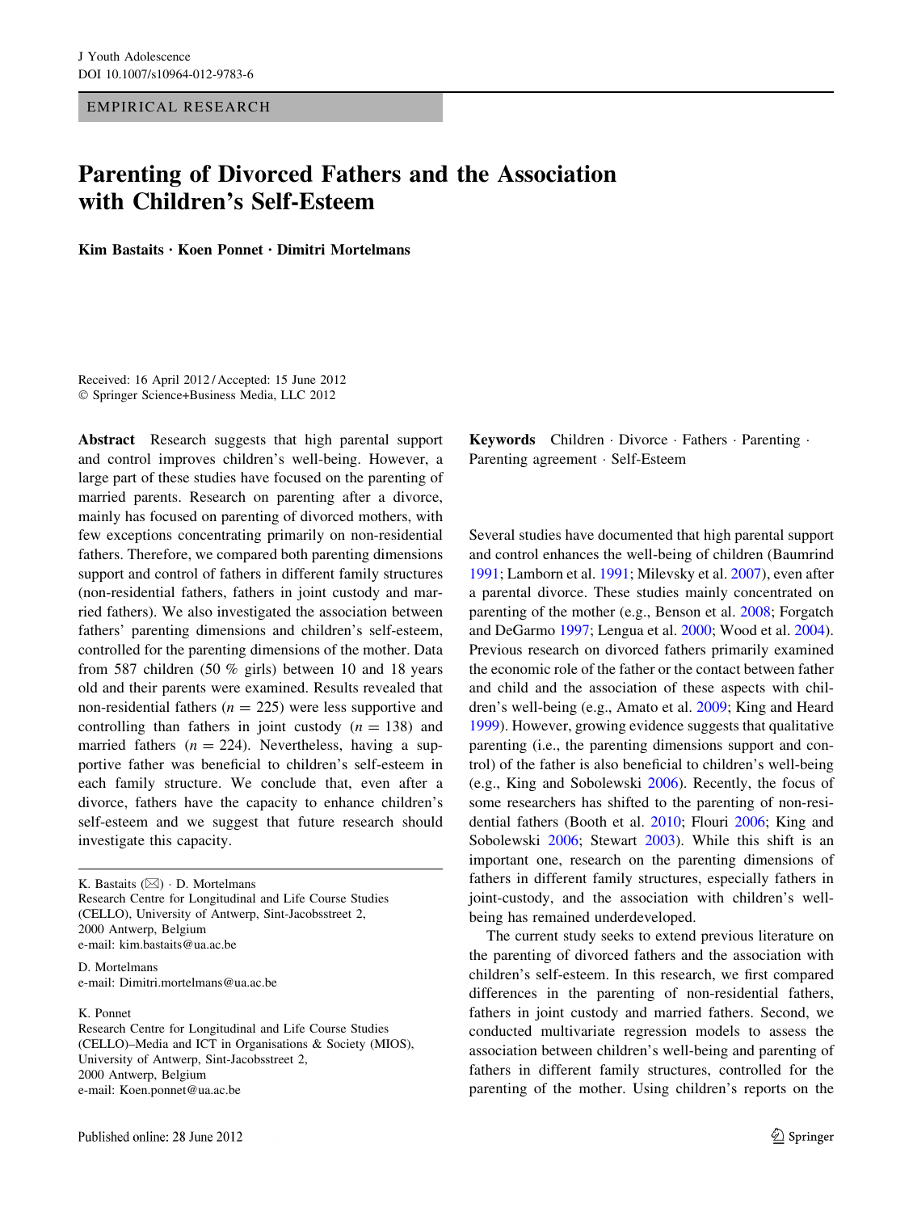EMPIRICAL RESEARCH

## Parenting of Divorced Fathers and the Association with Children's Self-Esteem

Kim Bastaits • Koen Ponnet • Dimitri Mortelmans

Received: 16 April 2012 / Accepted: 15 June 2012 - Springer Science+Business Media, LLC 2012

Abstract Research suggests that high parental support and control improves children's well-being. However, a large part of these studies have focused on the parenting of married parents. Research on parenting after a divorce, mainly has focused on parenting of divorced mothers, with few exceptions concentrating primarily on non-residential fathers. Therefore, we compared both parenting dimensions support and control of fathers in different family structures (non-residential fathers, fathers in joint custody and married fathers). We also investigated the association between fathers' parenting dimensions and children's self-esteem, controlled for the parenting dimensions of the mother. Data from 587 children (50 % girls) between 10 and 18 years old and their parents were examined. Results revealed that non-residential fathers ( $n = 225$ ) were less supportive and controlling than fathers in joint custody  $(n = 138)$  and married fathers  $(n = 224)$ . Nevertheless, having a supportive father was beneficial to children's self-esteem in each family structure. We conclude that, even after a divorce, fathers have the capacity to enhance children's self-esteem and we suggest that future research should investigate this capacity.

K. Bastaits  $(\boxtimes) \cdot$  D. Mortelmans Research Centre for Longitudinal and Life Course Studies (CELLO), University of Antwerp, Sint-Jacobsstreet 2, 2000 Antwerp, Belgium e-mail: kim.bastaits@ua.ac.be

D. Mortelmans e-mail: Dimitri.mortelmans@ua.ac.be

#### K. Ponnet

Research Centre for Longitudinal and Life Course Studies (CELLO)–Media and ICT in Organisations & Society (MIOS), University of Antwerp, Sint-Jacobsstreet 2, 2000 Antwerp, Belgium e-mail: Koen.ponnet@ua.ac.be

Keywords Children · Divorce · Fathers · Parenting · Parenting agreement · Self-Esteem

Several studies have documented that high parental support and control enhances the well-being of children (Baumrind [1991](#page-12-0); Lamborn et al. [1991;](#page-13-0) Milevsky et al. [2007\)](#page-14-0), even after a parental divorce. These studies mainly concentrated on parenting of the mother (e.g., Benson et al. [2008](#page-12-0); Forgatch and DeGarmo [1997;](#page-13-0) Lengua et al. [2000](#page-13-0); Wood et al. [2004](#page-14-0)). Previous research on divorced fathers primarily examined the economic role of the father or the contact between father and child and the association of these aspects with children's well-being (e.g., Amato et al. [2009;](#page-12-0) King and Heard [1999](#page-13-0)). However, growing evidence suggests that qualitative parenting (i.e., the parenting dimensions support and control) of the father is also beneficial to children's well-being (e.g., King and Sobolewski [2006\)](#page-13-0). Recently, the focus of some researchers has shifted to the parenting of non-residential fathers (Booth et al. [2010;](#page-12-0) Flouri [2006](#page-13-0); King and Sobolewski [2006;](#page-13-0) Stewart [2003\)](#page-14-0). While this shift is an important one, research on the parenting dimensions of fathers in different family structures, especially fathers in joint-custody, and the association with children's wellbeing has remained underdeveloped.

The current study seeks to extend previous literature on the parenting of divorced fathers and the association with children's self-esteem. In this research, we first compared differences in the parenting of non-residential fathers, fathers in joint custody and married fathers. Second, we conducted multivariate regression models to assess the association between children's well-being and parenting of fathers in different family structures, controlled for the parenting of the mother. Using children's reports on the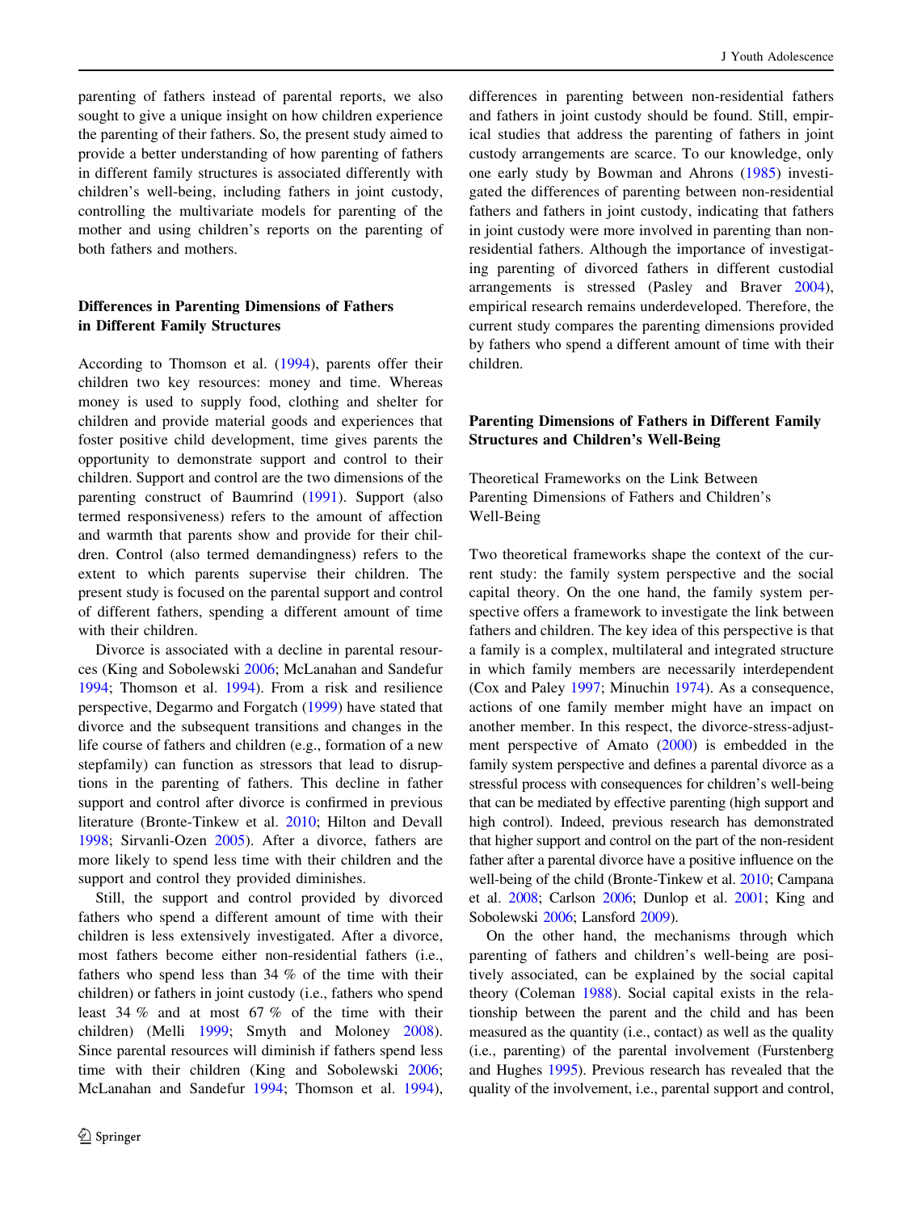parenting of fathers instead of parental reports, we also sought to give a unique insight on how children experience the parenting of their fathers. So, the present study aimed to provide a better understanding of how parenting of fathers in different family structures is associated differently with children's well-being, including fathers in joint custody, controlling the multivariate models for parenting of the mother and using children's reports on the parenting of both fathers and mothers.

## Differences in Parenting Dimensions of Fathers in Different Family Structures

According to Thomson et al. ([1994\)](#page-14-0), parents offer their children two key resources: money and time. Whereas money is used to supply food, clothing and shelter for children and provide material goods and experiences that foster positive child development, time gives parents the opportunity to demonstrate support and control to their children. Support and control are the two dimensions of the parenting construct of Baumrind ([1991\)](#page-12-0). Support (also termed responsiveness) refers to the amount of affection and warmth that parents show and provide for their children. Control (also termed demandingness) refers to the extent to which parents supervise their children. The present study is focused on the parental support and control of different fathers, spending a different amount of time with their children.

Divorce is associated with a decline in parental resources (King and Sobolewski [2006](#page-13-0); McLanahan and Sandefur [1994;](#page-14-0) Thomson et al. [1994\)](#page-14-0). From a risk and resilience perspective, Degarmo and Forgatch [\(1999](#page-13-0)) have stated that divorce and the subsequent transitions and changes in the life course of fathers and children (e.g., formation of a new stepfamily) can function as stressors that lead to disruptions in the parenting of fathers. This decline in father support and control after divorce is confirmed in previous literature (Bronte-Tinkew et al. [2010](#page-13-0); Hilton and Devall [1998;](#page-13-0) Sirvanli-Ozen [2005](#page-14-0)). After a divorce, fathers are more likely to spend less time with their children and the support and control they provided diminishes.

Still, the support and control provided by divorced fathers who spend a different amount of time with their children is less extensively investigated. After a divorce, most fathers become either non-residential fathers (i.e., fathers who spend less than 34 % of the time with their children) or fathers in joint custody (i.e., fathers who spend least 34 % and at most 67 % of the time with their children) (Melli [1999](#page-14-0); Smyth and Moloney [2008](#page-14-0)). Since parental resources will diminish if fathers spend less time with their children (King and Sobolewski [2006](#page-13-0); McLanahan and Sandefur [1994;](#page-14-0) Thomson et al. [1994](#page-14-0)),

differences in parenting between non-residential fathers and fathers in joint custody should be found. Still, empirical studies that address the parenting of fathers in joint custody arrangements are scarce. To our knowledge, only one early study by Bowman and Ahrons [\(1985](#page-13-0)) investigated the differences of parenting between non-residential fathers and fathers in joint custody, indicating that fathers in joint custody were more involved in parenting than nonresidential fathers. Although the importance of investigating parenting of divorced fathers in different custodial arrangements is stressed (Pasley and Braver [2004](#page-14-0)), empirical research remains underdeveloped. Therefore, the current study compares the parenting dimensions provided by fathers who spend a different amount of time with their children.

## Parenting Dimensions of Fathers in Different Family Structures and Children's Well-Being

Theoretical Frameworks on the Link Between Parenting Dimensions of Fathers and Children's Well-Being

Two theoretical frameworks shape the context of the current study: the family system perspective and the social capital theory. On the one hand, the family system perspective offers a framework to investigate the link between fathers and children. The key idea of this perspective is that a family is a complex, multilateral and integrated structure in which family members are necessarily interdependent (Cox and Paley [1997](#page-13-0); Minuchin [1974\)](#page-14-0). As a consequence, actions of one family member might have an impact on another member. In this respect, the divorce-stress-adjustment perspective of Amato ([2000\)](#page-12-0) is embedded in the family system perspective and defines a parental divorce as a stressful process with consequences for children's well-being that can be mediated by effective parenting (high support and high control). Indeed, previous research has demonstrated that higher support and control on the part of the non-resident father after a parental divorce have a positive influence on the well-being of the child (Bronte-Tinkew et al. [2010](#page-13-0); Campana et al. [2008](#page-13-0); Carlson [2006;](#page-13-0) Dunlop et al. [2001;](#page-13-0) King and Sobolewski [2006;](#page-13-0) Lansford [2009](#page-13-0)).

On the other hand, the mechanisms through which parenting of fathers and children's well-being are positively associated, can be explained by the social capital theory (Coleman [1988\)](#page-13-0). Social capital exists in the relationship between the parent and the child and has been measured as the quantity (i.e., contact) as well as the quality (i.e., parenting) of the parental involvement (Furstenberg and Hughes [1995](#page-13-0)). Previous research has revealed that the quality of the involvement, i.e., parental support and control,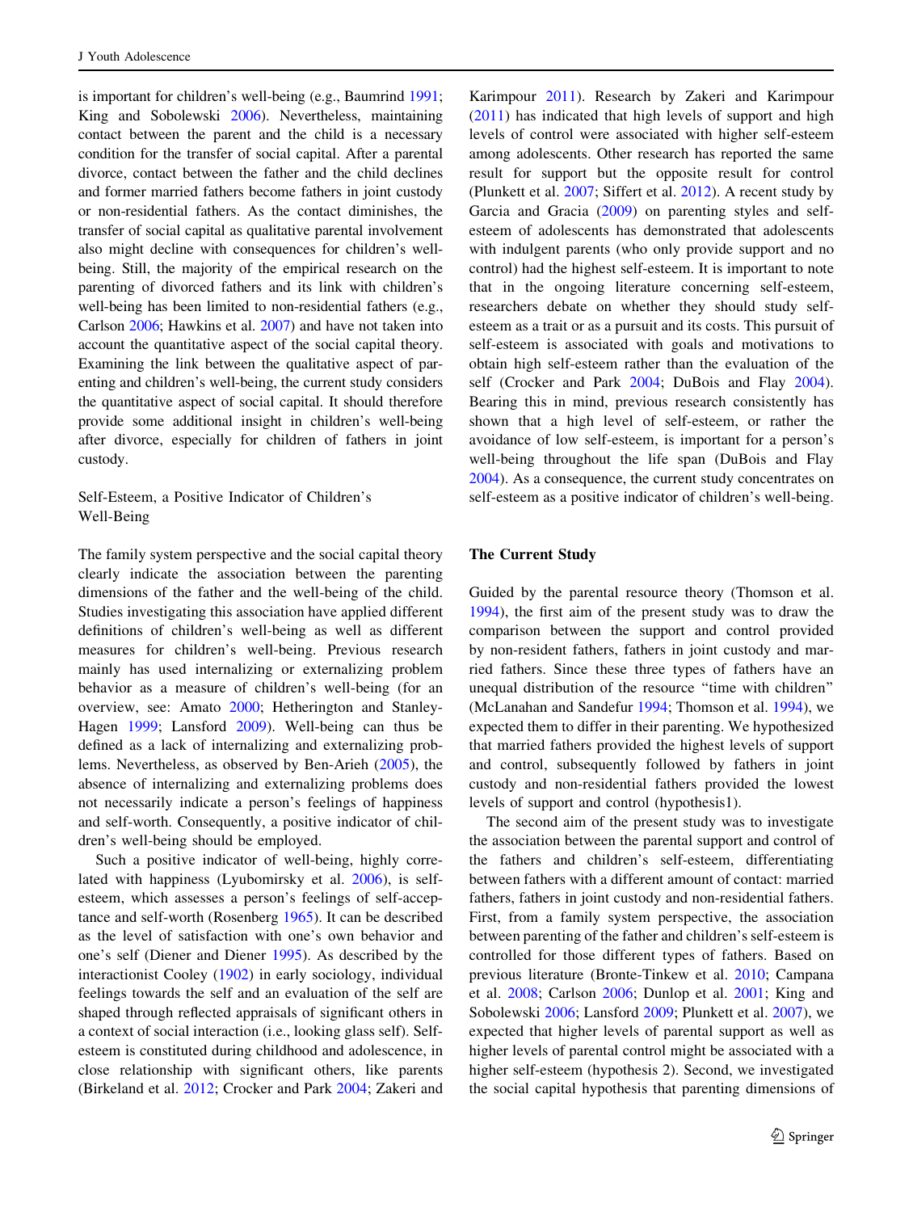is important for children's well-being (e.g., Baumrind [1991](#page-12-0); King and Sobolewski [2006](#page-13-0)). Nevertheless, maintaining contact between the parent and the child is a necessary condition for the transfer of social capital. After a parental divorce, contact between the father and the child declines and former married fathers become fathers in joint custody or non-residential fathers. As the contact diminishes, the transfer of social capital as qualitative parental involvement also might decline with consequences for children's wellbeing. Still, the majority of the empirical research on the parenting of divorced fathers and its link with children's well-being has been limited to non-residential fathers (e.g., Carlson [2006;](#page-13-0) Hawkins et al. [2007](#page-13-0)) and have not taken into account the quantitative aspect of the social capital theory. Examining the link between the qualitative aspect of parenting and children's well-being, the current study considers the quantitative aspect of social capital. It should therefore provide some additional insight in children's well-being after divorce, especially for children of fathers in joint custody.

Self-Esteem, a Positive Indicator of Children's Well-Being

The family system perspective and the social capital theory clearly indicate the association between the parenting dimensions of the father and the well-being of the child. Studies investigating this association have applied different definitions of children's well-being as well as different measures for children's well-being. Previous research mainly has used internalizing or externalizing problem behavior as a measure of children's well-being (for an overview, see: Amato [2000;](#page-12-0) Hetherington and Stanley-Hagen [1999](#page-13-0); Lansford [2009](#page-13-0)). Well-being can thus be defined as a lack of internalizing and externalizing problems. Nevertheless, as observed by Ben-Arieh ([2005\)](#page-12-0), the absence of internalizing and externalizing problems does not necessarily indicate a person's feelings of happiness and self-worth. Consequently, a positive indicator of children's well-being should be employed.

Such a positive indicator of well-being, highly correlated with happiness (Lyubomirsky et al. [2006\)](#page-13-0), is selfesteem, which assesses a person's feelings of self-acceptance and self-worth (Rosenberg [1965\)](#page-14-0). It can be described as the level of satisfaction with one's own behavior and one's self (Diener and Diener [1995](#page-13-0)). As described by the interactionist Cooley [\(1902](#page-13-0)) in early sociology, individual feelings towards the self and an evaluation of the self are shaped through reflected appraisals of significant others in a context of social interaction (i.e., looking glass self). Selfesteem is constituted during childhood and adolescence, in close relationship with significant others, like parents (Birkeland et al. [2012;](#page-12-0) Crocker and Park [2004;](#page-13-0) Zakeri and

Karimpour [2011](#page-14-0)). Research by Zakeri and Karimpour [\(2011](#page-14-0)) has indicated that high levels of support and high levels of control were associated with higher self-esteem among adolescents. Other research has reported the same result for support but the opposite result for control (Plunkett et al. [2007](#page-14-0); Siffert et al. [2012](#page-14-0)). A recent study by Garcia and Gracia ([2009\)](#page-13-0) on parenting styles and selfesteem of adolescents has demonstrated that adolescents with indulgent parents (who only provide support and no control) had the highest self-esteem. It is important to note that in the ongoing literature concerning self-esteem, researchers debate on whether they should study selfesteem as a trait or as a pursuit and its costs. This pursuit of self-esteem is associated with goals and motivations to obtain high self-esteem rather than the evaluation of the self (Crocker and Park [2004;](#page-13-0) DuBois and Flay [2004](#page-13-0)). Bearing this in mind, previous research consistently has shown that a high level of self-esteem, or rather the avoidance of low self-esteem, is important for a person's well-being throughout the life span (DuBois and Flay [2004](#page-13-0)). As a consequence, the current study concentrates on self-esteem as a positive indicator of children's well-being.

## The Current Study

Guided by the parental resource theory (Thomson et al. [1994](#page-14-0)), the first aim of the present study was to draw the comparison between the support and control provided by non-resident fathers, fathers in joint custody and married fathers. Since these three types of fathers have an unequal distribution of the resource ''time with children'' (McLanahan and Sandefur [1994;](#page-14-0) Thomson et al. [1994](#page-14-0)), we expected them to differ in their parenting. We hypothesized that married fathers provided the highest levels of support and control, subsequently followed by fathers in joint custody and non-residential fathers provided the lowest levels of support and control (hypothesis1).

The second aim of the present study was to investigate the association between the parental support and control of the fathers and children's self-esteem, differentiating between fathers with a different amount of contact: married fathers, fathers in joint custody and non-residential fathers. First, from a family system perspective, the association between parenting of the father and children's self-esteem is controlled for those different types of fathers. Based on previous literature (Bronte-Tinkew et al. [2010](#page-13-0); Campana et al. [2008](#page-13-0); Carlson [2006](#page-13-0); Dunlop et al. [2001;](#page-13-0) King and Sobolewski [2006](#page-13-0); Lansford [2009;](#page-13-0) Plunkett et al. [2007](#page-14-0)), we expected that higher levels of parental support as well as higher levels of parental control might be associated with a higher self-esteem (hypothesis 2). Second, we investigated the social capital hypothesis that parenting dimensions of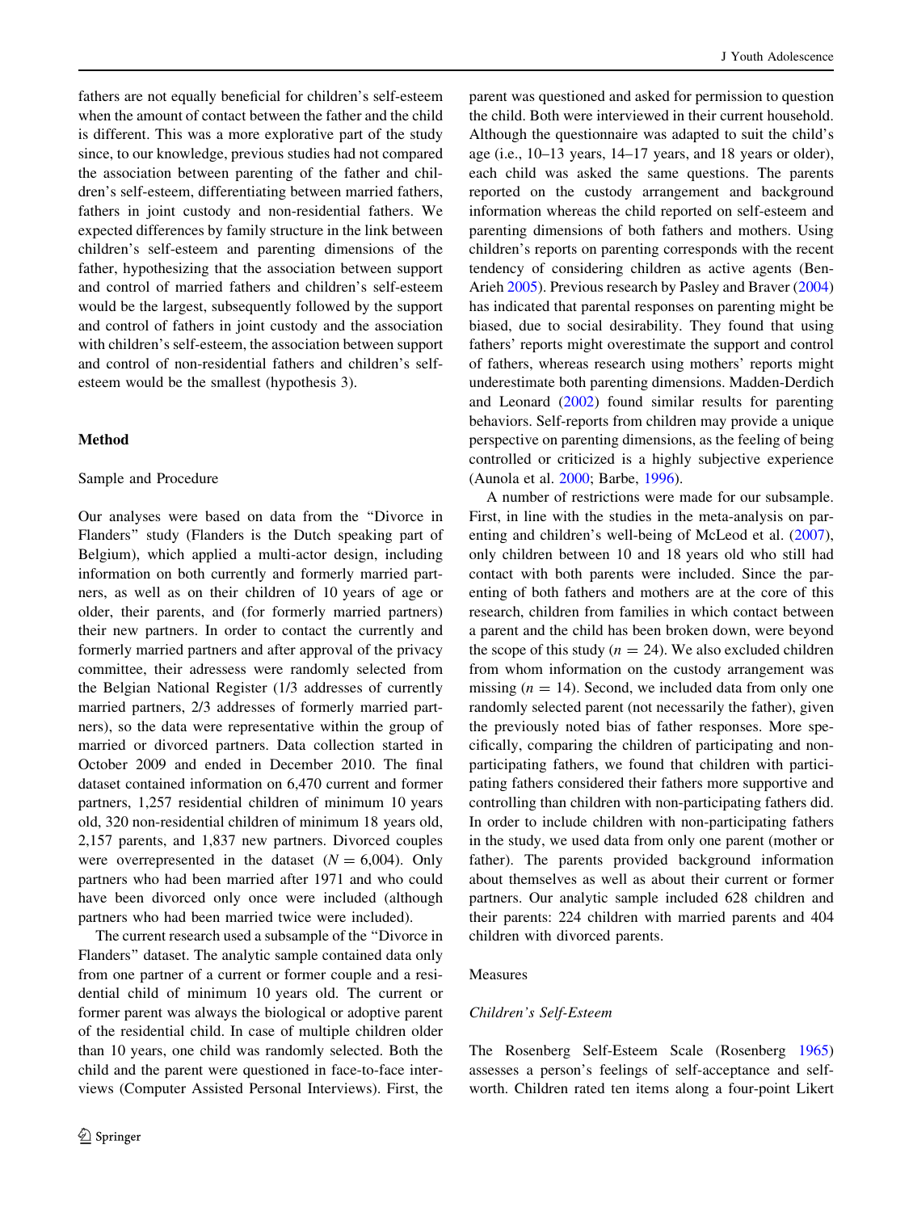fathers are not equally beneficial for children's self-esteem when the amount of contact between the father and the child is different. This was a more explorative part of the study since, to our knowledge, previous studies had not compared the association between parenting of the father and children's self-esteem, differentiating between married fathers, fathers in joint custody and non-residential fathers. We expected differences by family structure in the link between children's self-esteem and parenting dimensions of the father, hypothesizing that the association between support and control of married fathers and children's self-esteem would be the largest, subsequently followed by the support and control of fathers in joint custody and the association with children's self-esteem, the association between support and control of non-residential fathers and children's selfesteem would be the smallest (hypothesis 3).

#### Method

#### Sample and Procedure

Our analyses were based on data from the ''Divorce in Flanders'' study (Flanders is the Dutch speaking part of Belgium), which applied a multi-actor design, including information on both currently and formerly married partners, as well as on their children of 10 years of age or older, their parents, and (for formerly married partners) their new partners. In order to contact the currently and formerly married partners and after approval of the privacy committee, their adressess were randomly selected from the Belgian National Register (1/3 addresses of currently married partners, 2/3 addresses of formerly married partners), so the data were representative within the group of married or divorced partners. Data collection started in October 2009 and ended in December 2010. The final dataset contained information on 6,470 current and former partners, 1,257 residential children of minimum 10 years old, 320 non-residential children of minimum 18 years old, 2,157 parents, and 1,837 new partners. Divorced couples were overrepresented in the dataset  $(N = 6,004)$ . Only partners who had been married after 1971 and who could have been divorced only once were included (although partners who had been married twice were included).

The current research used a subsample of the ''Divorce in Flanders'' dataset. The analytic sample contained data only from one partner of a current or former couple and a residential child of minimum 10 years old. The current or former parent was always the biological or adoptive parent of the residential child. In case of multiple children older than 10 years, one child was randomly selected. Both the child and the parent were questioned in face-to-face interviews (Computer Assisted Personal Interviews). First, the parent was questioned and asked for permission to question the child. Both were interviewed in their current household. Although the questionnaire was adapted to suit the child's age (i.e., 10–13 years, 14–17 years, and 18 years or older), each child was asked the same questions. The parents reported on the custody arrangement and background information whereas the child reported on self-esteem and parenting dimensions of both fathers and mothers. Using children's reports on parenting corresponds with the recent tendency of considering children as active agents (Ben-Arieh [2005\)](#page-12-0). Previous research by Pasley and Braver ([2004\)](#page-14-0) has indicated that parental responses on parenting might be biased, due to social desirability. They found that using fathers' reports might overestimate the support and control of fathers, whereas research using mothers' reports might underestimate both parenting dimensions. Madden-Derdich and Leonard ([2002\)](#page-13-0) found similar results for parenting behaviors. Self-reports from children may provide a unique perspective on parenting dimensions, as the feeling of being controlled or criticized is a highly subjective experience (Aunola et al. [2000;](#page-12-0) Barbe, [1996](#page-12-0)).

A number of restrictions were made for our subsample. First, in line with the studies in the meta-analysis on parenting and children's well-being of McLeod et al. [\(2007](#page-14-0)), only children between 10 and 18 years old who still had contact with both parents were included. Since the parenting of both fathers and mothers are at the core of this research, children from families in which contact between a parent and the child has been broken down, were beyond the scope of this study ( $n = 24$ ). We also excluded children from whom information on the custody arrangement was missing  $(n = 14)$ . Second, we included data from only one randomly selected parent (not necessarily the father), given the previously noted bias of father responses. More specifically, comparing the children of participating and nonparticipating fathers, we found that children with participating fathers considered their fathers more supportive and controlling than children with non-participating fathers did. In order to include children with non-participating fathers in the study, we used data from only one parent (mother or father). The parents provided background information about themselves as well as about their current or former partners. Our analytic sample included 628 children and their parents: 224 children with married parents and 404 children with divorced parents.

#### Measures

#### Children's Self-Esteem

The Rosenberg Self-Esteem Scale (Rosenberg [1965\)](#page-14-0) assesses a person's feelings of self-acceptance and selfworth. Children rated ten items along a four-point Likert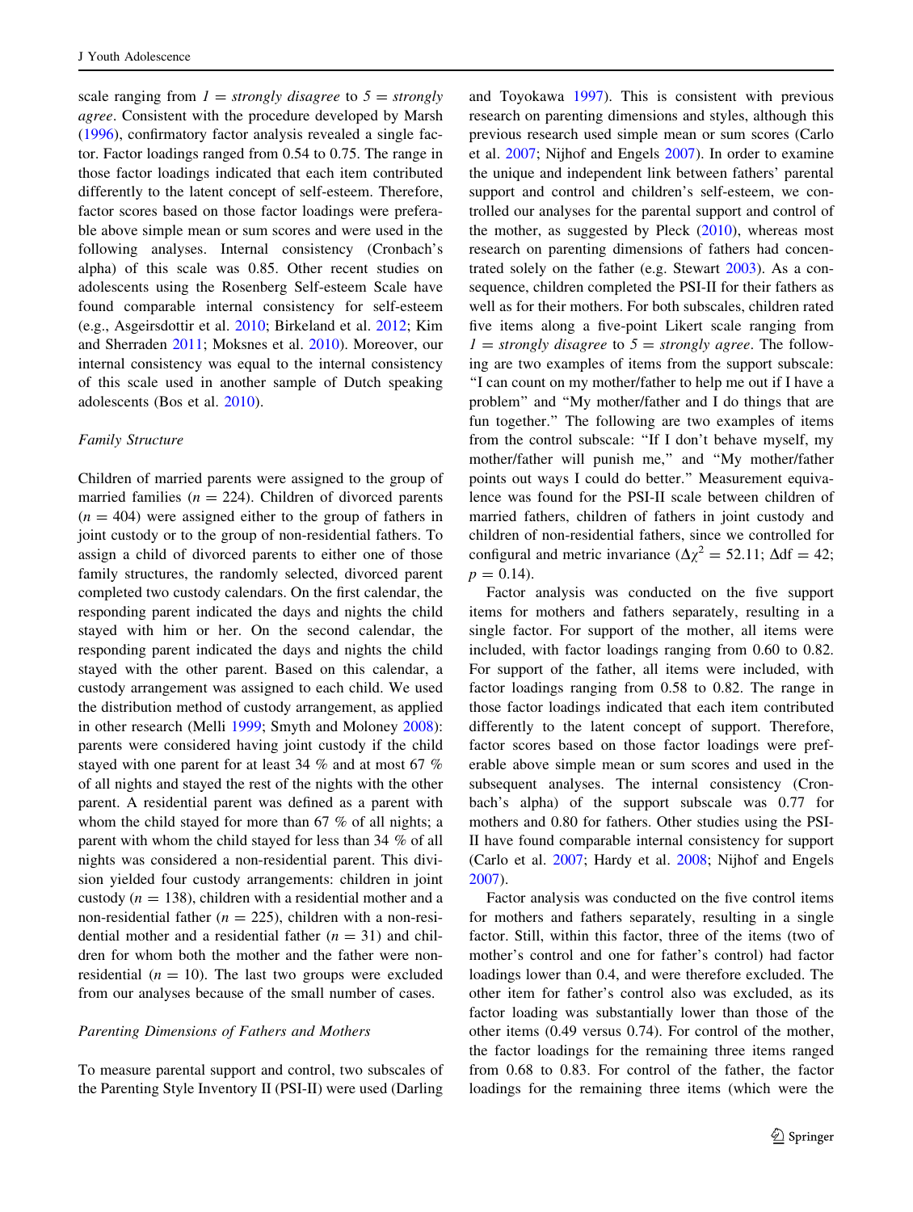scale ranging from  $l =$  strongly disagree to  $5 =$  strongly agree. Consistent with the procedure developed by Marsh [\(1996](#page-13-0)), confirmatory factor analysis revealed a single factor. Factor loadings ranged from 0.54 to 0.75. The range in those factor loadings indicated that each item contributed differently to the latent concept of self-esteem. Therefore, factor scores based on those factor loadings were preferable above simple mean or sum scores and were used in the following analyses. Internal consistency (Cronbach's alpha) of this scale was 0.85. Other recent studies on adolescents using the Rosenberg Self-esteem Scale have found comparable internal consistency for self-esteem (e.g., Asgeirsdottir et al. [2010](#page-12-0); Birkeland et al. [2012](#page-12-0); Kim and Sherraden [2011;](#page-13-0) Moksnes et al. [2010](#page-14-0)). Moreover, our internal consistency was equal to the internal consistency of this scale used in another sample of Dutch speaking adolescents (Bos et al. [2010](#page-13-0)).

#### Family Structure

Children of married parents were assigned to the group of married families ( $n = 224$ ). Children of divorced parents  $(n = 404)$  were assigned either to the group of fathers in joint custody or to the group of non-residential fathers. To assign a child of divorced parents to either one of those family structures, the randomly selected, divorced parent completed two custody calendars. On the first calendar, the responding parent indicated the days and nights the child stayed with him or her. On the second calendar, the responding parent indicated the days and nights the child stayed with the other parent. Based on this calendar, a custody arrangement was assigned to each child. We used the distribution method of custody arrangement, as applied in other research (Melli [1999;](#page-14-0) Smyth and Moloney [2008](#page-14-0)): parents were considered having joint custody if the child stayed with one parent for at least 34 % and at most 67 % of all nights and stayed the rest of the nights with the other parent. A residential parent was defined as a parent with whom the child stayed for more than 67 % of all nights; a parent with whom the child stayed for less than 34 % of all nights was considered a non-residential parent. This division yielded four custody arrangements: children in joint custody ( $n = 138$ ), children with a residential mother and a non-residential father ( $n = 225$ ), children with a non-residential mother and a residential father  $(n = 31)$  and children for whom both the mother and the father were nonresidential ( $n = 10$ ). The last two groups were excluded from our analyses because of the small number of cases.

### Parenting Dimensions of Fathers and Mothers

To measure parental support and control, two subscales of the Parenting Style Inventory II (PSI-II) were used (Darling and Toyokawa [1997\)](#page-13-0). This is consistent with previous research on parenting dimensions and styles, although this previous research used simple mean or sum scores (Carlo et al. [2007;](#page-13-0) Nijhof and Engels [2007\)](#page-14-0). In order to examine the unique and independent link between fathers' parental support and control and children's self-esteem, we controlled our analyses for the parental support and control of the mother, as suggested by Pleck ([2010\)](#page-14-0), whereas most research on parenting dimensions of fathers had concentrated solely on the father (e.g. Stewart [2003\)](#page-14-0). As a consequence, children completed the PSI-II for their fathers as well as for their mothers. For both subscales, children rated five items along a five-point Likert scale ranging from  $1 =$  strongly disagree to  $5 =$  strongly agree. The following are two examples of items from the support subscale: ''I can count on my mother/father to help me out if I have a problem'' and ''My mother/father and I do things that are fun together.'' The following are two examples of items from the control subscale: ''If I don't behave myself, my mother/father will punish me," and "My mother/father points out ways I could do better.'' Measurement equivalence was found for the PSI-II scale between children of married fathers, children of fathers in joint custody and children of non-residential fathers, since we controlled for configural and metric invariance ( $\Delta \chi^2 = 52.11$ ;  $\Delta df = 42$ ;  $p = 0.14$ .

Factor analysis was conducted on the five support items for mothers and fathers separately, resulting in a single factor. For support of the mother, all items were included, with factor loadings ranging from 0.60 to 0.82. For support of the father, all items were included, with factor loadings ranging from 0.58 to 0.82. The range in those factor loadings indicated that each item contributed differently to the latent concept of support. Therefore, factor scores based on those factor loadings were preferable above simple mean or sum scores and used in the subsequent analyses. The internal consistency (Cronbach's alpha) of the support subscale was 0.77 for mothers and 0.80 for fathers. Other studies using the PSI-II have found comparable internal consistency for support (Carlo et al. [2007;](#page-13-0) Hardy et al. [2008;](#page-13-0) Nijhof and Engels [2007](#page-14-0)).

Factor analysis was conducted on the five control items for mothers and fathers separately, resulting in a single factor. Still, within this factor, three of the items (two of mother's control and one for father's control) had factor loadings lower than 0.4, and were therefore excluded. The other item for father's control also was excluded, as its factor loading was substantially lower than those of the other items (0.49 versus 0.74). For control of the mother, the factor loadings for the remaining three items ranged from 0.68 to 0.83. For control of the father, the factor loadings for the remaining three items (which were the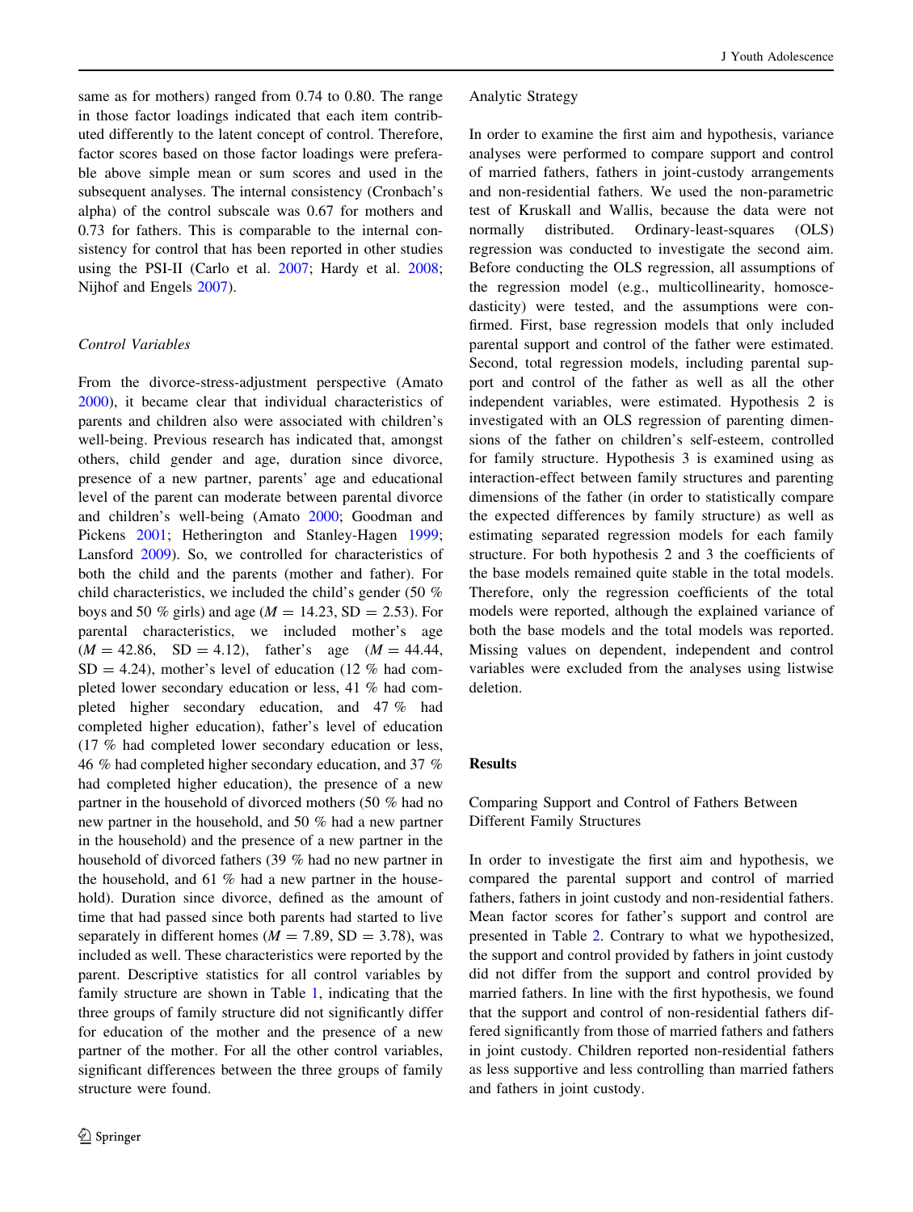same as for mothers) ranged from 0.74 to 0.80. The range in those factor loadings indicated that each item contributed differently to the latent concept of control. Therefore, factor scores based on those factor loadings were preferable above simple mean or sum scores and used in the subsequent analyses. The internal consistency (Cronbach's alpha) of the control subscale was 0.67 for mothers and 0.73 for fathers. This is comparable to the internal consistency for control that has been reported in other studies using the PSI-II (Carlo et al. [2007;](#page-13-0) Hardy et al. [2008](#page-13-0); Nijhof and Engels [2007\)](#page-14-0).

## Control Variables

From the divorce-stress-adjustment perspective (Amato [2000\)](#page-12-0), it became clear that individual characteristics of parents and children also were associated with children's well-being. Previous research has indicated that, amongst others, child gender and age, duration since divorce, presence of a new partner, parents' age and educational level of the parent can moderate between parental divorce and children's well-being (Amato [2000](#page-12-0); Goodman and Pickens [2001](#page-13-0); Hetherington and Stanley-Hagen [1999](#page-13-0); Lansford [2009\)](#page-13-0). So, we controlled for characteristics of both the child and the parents (mother and father). For child characteristics, we included the child's gender (50 % boys and 50 % girls) and age ( $M = 14.23$ , SD = 2.53). For parental characteristics, we included mother's age  $(M = 42.86, SD = 4.12),$  father's age  $(M = 44.44,$  $SD = 4.24$ ), mother's level of education (12 % had completed lower secondary education or less, 41 % had completed higher secondary education, and 47 % had completed higher education), father's level of education (17 % had completed lower secondary education or less, 46 % had completed higher secondary education, and 37 % had completed higher education), the presence of a new partner in the household of divorced mothers (50 % had no new partner in the household, and 50 % had a new partner in the household) and the presence of a new partner in the household of divorced fathers (39 % had no new partner in the household, and 61 % had a new partner in the household). Duration since divorce, defined as the amount of time that had passed since both parents had started to live separately in different homes ( $M = 7.89$ , SD = 3.78), was included as well. These characteristics were reported by the parent. Descriptive statistics for all control variables by family structure are shown in Table [1](#page-7-0), indicating that the three groups of family structure did not significantly differ for education of the mother and the presence of a new partner of the mother. For all the other control variables, significant differences between the three groups of family structure were found.

#### Analytic Strategy

In order to examine the first aim and hypothesis, variance analyses were performed to compare support and control of married fathers, fathers in joint-custody arrangements and non-residential fathers. We used the non-parametric test of Kruskall and Wallis, because the data were not normally distributed. Ordinary-least-squares (OLS) regression was conducted to investigate the second aim. Before conducting the OLS regression, all assumptions of the regression model (e.g., multicollinearity, homoscedasticity) were tested, and the assumptions were confirmed. First, base regression models that only included parental support and control of the father were estimated. Second, total regression models, including parental support and control of the father as well as all the other independent variables, were estimated. Hypothesis 2 is investigated with an OLS regression of parenting dimensions of the father on children's self-esteem, controlled for family structure. Hypothesis 3 is examined using as interaction-effect between family structures and parenting dimensions of the father (in order to statistically compare the expected differences by family structure) as well as estimating separated regression models for each family structure. For both hypothesis 2 and 3 the coefficients of the base models remained quite stable in the total models. Therefore, only the regression coefficients of the total models were reported, although the explained variance of both the base models and the total models was reported. Missing values on dependent, independent and control variables were excluded from the analyses using listwise deletion.

## Results

Comparing Support and Control of Fathers Between Different Family Structures

In order to investigate the first aim and hypothesis, we compared the parental support and control of married fathers, fathers in joint custody and non-residential fathers. Mean factor scores for father's support and control are presented in Table [2.](#page-8-0) Contrary to what we hypothesized, the support and control provided by fathers in joint custody did not differ from the support and control provided by married fathers. In line with the first hypothesis, we found that the support and control of non-residential fathers differed significantly from those of married fathers and fathers in joint custody. Children reported non-residential fathers as less supportive and less controlling than married fathers and fathers in joint custody.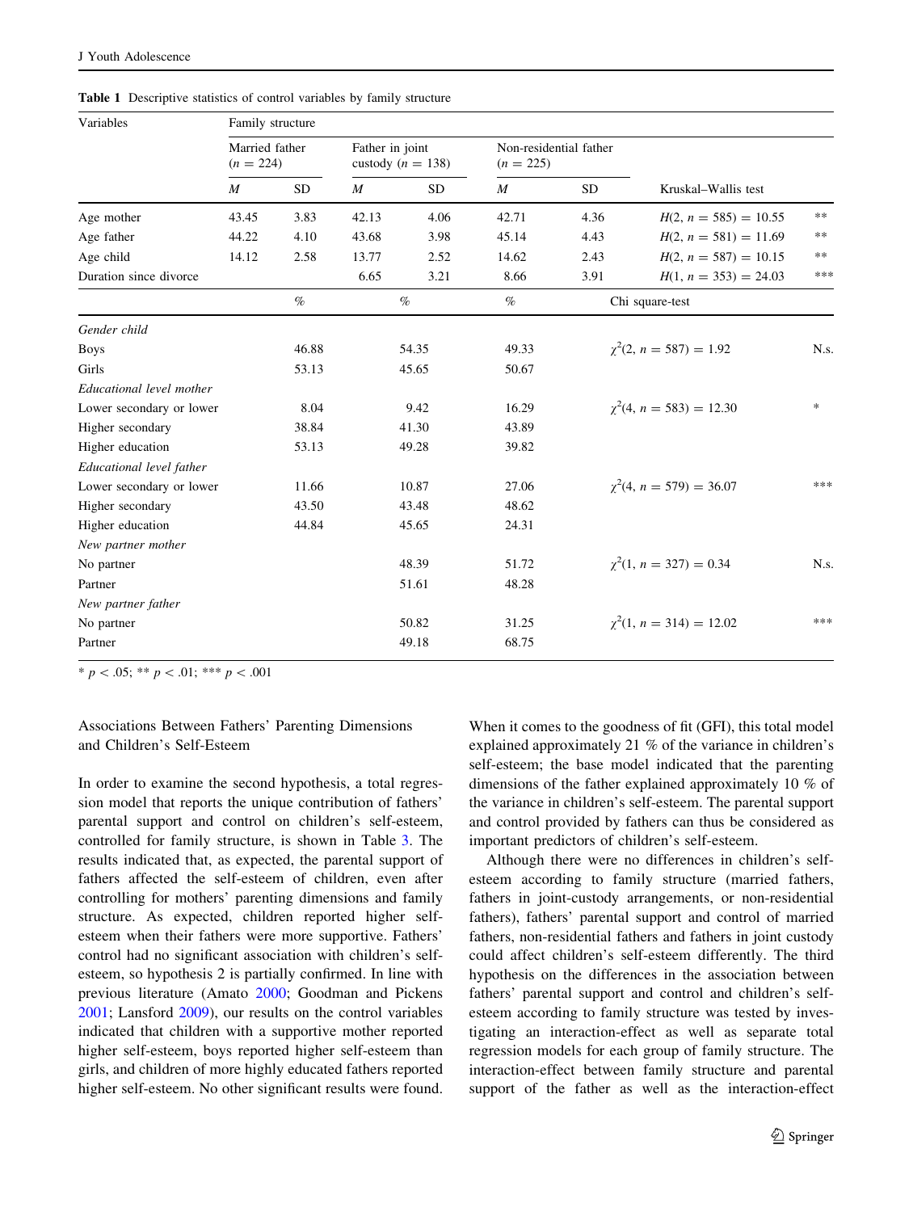| Variables                | Family structure              |           |                                          |           |                                       |           |                                |       |  |  |
|--------------------------|-------------------------------|-----------|------------------------------------------|-----------|---------------------------------------|-----------|--------------------------------|-------|--|--|
|                          | Married father<br>$(n = 224)$ |           | Father in joint<br>custody ( $n = 138$ ) |           | Non-residential father<br>$(n = 225)$ |           |                                |       |  |  |
|                          | $\boldsymbol{M}$              | <b>SD</b> | $\boldsymbol{M}$                         | <b>SD</b> | $\boldsymbol{M}$                      | <b>SD</b> | Kruskal-Wallis test            |       |  |  |
| Age mother               | 43.45                         | 3.83      | 42.13                                    | 4.06      | 42.71                                 | 4.36      | $H(2, n = 585) = 10.55$        | $***$ |  |  |
| Age father               | 44.22                         | 4.10      | 43.68                                    | 3.98      | 45.14                                 | 4.43      | $H(2, n = 581) = 11.69$        | $***$ |  |  |
| Age child                | 14.12                         | 2.58      | 13.77                                    | 2.52      | 14.62                                 | 2.43      | $H(2, n = 587) = 10.15$        | $**$  |  |  |
| Duration since divorce   |                               |           | 6.65                                     | 3.21      | 8.66                                  | 3.91      | $H(1, n = 353) = 24.03$        | ***   |  |  |
|                          |                               | $\%$      | $\%$                                     |           | $\%$                                  |           | Chi square-test                |       |  |  |
| Gender child             |                               |           |                                          |           |                                       |           |                                |       |  |  |
| <b>Boys</b>              |                               | 46.88     | 54.35                                    |           | 49.33                                 |           | $\chi^2(2, n = 587) = 1.92$    | N.s.  |  |  |
| Girls                    |                               | 53.13     | 45.65                                    |           | 50.67                                 |           |                                |       |  |  |
| Educational level mother |                               |           |                                          |           |                                       |           |                                |       |  |  |
| Lower secondary or lower |                               | 8.04      | 9.42                                     |           | 16.29                                 |           | $\gamma^2(4, n = 583) = 12.30$ |       |  |  |
| Higher secondary         |                               | 38.84     | 41.30                                    |           | 43.89                                 |           |                                |       |  |  |
| Higher education         |                               | 53.13     | 49.28                                    |           | 39.82                                 |           |                                |       |  |  |
| Educational level father |                               |           |                                          |           |                                       |           |                                |       |  |  |
| Lower secondary or lower |                               | 11.66     | 10.87                                    |           | 27.06                                 |           | $\gamma^2(4, n = 579) = 36.07$ | ***   |  |  |
| Higher secondary         |                               | 43.50     | 43.48                                    |           | 48.62                                 |           |                                |       |  |  |
| Higher education         |                               | 44.84     | 45.65                                    |           | 24.31                                 |           |                                |       |  |  |
| New partner mother       |                               |           |                                          |           |                                       |           |                                |       |  |  |
| No partner               |                               |           | 48.39                                    |           | 51.72                                 |           | $\gamma^2(1, n = 327) = 0.34$  | N.s.  |  |  |
| Partner                  |                               |           |                                          | 51.61     | 48.28                                 |           |                                |       |  |  |
| New partner father       |                               |           |                                          |           |                                       |           |                                |       |  |  |
| No partner               |                               |           |                                          | 50.82     | 31.25                                 |           | $\chi^2(1, n = 314) = 12.02$   | ***   |  |  |
| Partner                  |                               |           | 49.18                                    |           | 68.75                                 |           |                                |       |  |  |

<span id="page-7-0"></span>Table 1 Descriptive statistics of control variables by family structure

\*  $p$  < .05; \*\*  $p$  < .01; \*\*\*  $p$  < .001

Associations Between Fathers' Parenting Dimensions and Children's Self-Esteem

In order to examine the second hypothesis, a total regression model that reports the unique contribution of fathers' parental support and control on children's self-esteem, controlled for family structure, is shown in Table [3.](#page-8-0) The results indicated that, as expected, the parental support of fathers affected the self-esteem of children, even after controlling for mothers' parenting dimensions and family structure. As expected, children reported higher selfesteem when their fathers were more supportive. Fathers' control had no significant association with children's selfesteem, so hypothesis 2 is partially confirmed. In line with previous literature (Amato [2000;](#page-12-0) Goodman and Pickens [2001;](#page-13-0) Lansford [2009\)](#page-13-0), our results on the control variables indicated that children with a supportive mother reported higher self-esteem, boys reported higher self-esteem than girls, and children of more highly educated fathers reported higher self-esteem. No other significant results were found.

When it comes to the goodness of fit (GFI), this total model explained approximately 21 % of the variance in children's self-esteem; the base model indicated that the parenting dimensions of the father explained approximately 10 % of the variance in children's self-esteem. The parental support and control provided by fathers can thus be considered as important predictors of children's self-esteem.

Although there were no differences in children's selfesteem according to family structure (married fathers, fathers in joint-custody arrangements, or non-residential fathers), fathers' parental support and control of married fathers, non-residential fathers and fathers in joint custody could affect children's self-esteem differently. The third hypothesis on the differences in the association between fathers' parental support and control and children's selfesteem according to family structure was tested by investigating an interaction-effect as well as separate total regression models for each group of family structure. The interaction-effect between family structure and parental support of the father as well as the interaction-effect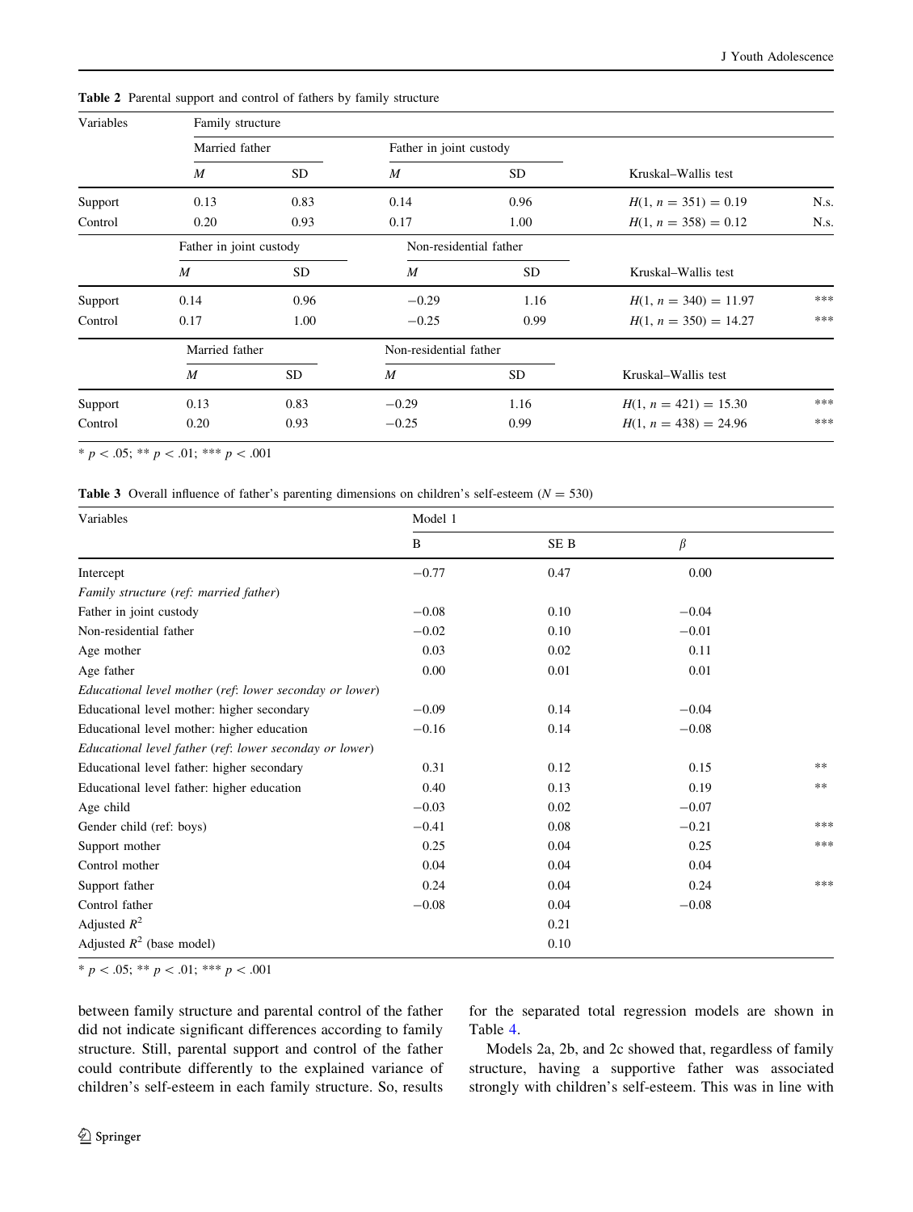| Variables | Family structure              |           |                         |           |                         |      |  |  |  |  |  |
|-----------|-------------------------------|-----------|-------------------------|-----------|-------------------------|------|--|--|--|--|--|
|           | Married father                |           | Father in joint custody |           |                         |      |  |  |  |  |  |
|           | <b>SD</b><br>$\boldsymbol{M}$ |           | $\boldsymbol{M}$        | <b>SD</b> | Kruskal–Wallis test     |      |  |  |  |  |  |
| Support   | 0.13                          | 0.83      | 0.14                    | 0.96      | $H(1, n = 351) = 0.19$  | N.s. |  |  |  |  |  |
| Control   | 0.20                          | 0.93      | 0.17                    | 1.00      | $H(1, n = 358) = 0.12$  | N.s. |  |  |  |  |  |
|           | Father in joint custody       |           | Non-residential father  |           |                         |      |  |  |  |  |  |
|           | $\boldsymbol{M}$              | <b>SD</b> | M                       | <b>SD</b> | Kruskal–Wallis test     |      |  |  |  |  |  |
| Support   | 0.14                          | 0.96      | $-0.29$                 | 1.16      | $H(1, n = 340) = 11.97$ | ***  |  |  |  |  |  |
| Control   | 0.17                          | 1.00      | $-0.25$<br>0.99         |           | $H(1, n = 350) = 14.27$ | ***  |  |  |  |  |  |
|           | Married father                |           | Non-residential father  |           |                         |      |  |  |  |  |  |
|           | M                             | <b>SD</b> | $\boldsymbol{M}$        | <b>SD</b> | Kruskal–Wallis test     |      |  |  |  |  |  |
| Support   | 0.13                          | 0.83      | $-0.29$                 | 1.16      | $H(1, n = 421) = 15.30$ | ***  |  |  |  |  |  |
| Control   | 0.20                          | 0.93      | $-0.25$                 | 0.99      | $H(1, n = 438) = 24.96$ | ***  |  |  |  |  |  |

<span id="page-8-0"></span>Table 2 Parental support and control of fathers by family structure

 $\frac{}{p\,<\,05; ** p\,<\,01; ** p\,<\,001}$ 

Table 3 Overall influence of father's parenting dimensions on children's self-esteem ( $N = 530$ )

| Variables                                               | Model 1 |      |         |     |  |  |  |  |
|---------------------------------------------------------|---------|------|---------|-----|--|--|--|--|
|                                                         | B       | SE B | $\beta$ |     |  |  |  |  |
| Intercept                                               | $-0.77$ | 0.47 | 0.00    |     |  |  |  |  |
| Family structure (ref: married father)                  |         |      |         |     |  |  |  |  |
| Father in joint custody                                 | $-0.08$ | 0.10 | $-0.04$ |     |  |  |  |  |
| Non-residential father                                  | $-0.02$ | 0.10 | $-0.01$ |     |  |  |  |  |
| Age mother                                              | 0.03    | 0.02 | 0.11    |     |  |  |  |  |
| Age father                                              | 0.00    | 0.01 | 0.01    |     |  |  |  |  |
| Educational level mother (ref: lower seconday or lower) |         |      |         |     |  |  |  |  |
| Educational level mother: higher secondary              | $-0.09$ | 0.14 | $-0.04$ |     |  |  |  |  |
| Educational level mother: higher education              | $-0.16$ | 0.14 | $-0.08$ |     |  |  |  |  |
| Educational level father (ref: lower seconday or lower) |         |      |         |     |  |  |  |  |
| Educational level father: higher secondary              | 0.31    | 0.12 | 0.15    | **  |  |  |  |  |
| Educational level father: higher education              | 0.40    | 0.13 | 0.19    | **  |  |  |  |  |
| Age child                                               | $-0.03$ | 0.02 | $-0.07$ |     |  |  |  |  |
| Gender child (ref: boys)                                | $-0.41$ | 0.08 | $-0.21$ | *** |  |  |  |  |
| Support mother                                          | 0.25    | 0.04 | 0.25    | *** |  |  |  |  |
| Control mother                                          | 0.04    | 0.04 | 0.04    |     |  |  |  |  |
| Support father                                          | 0.24    | 0.04 | 0.24    | *** |  |  |  |  |
| Control father                                          | $-0.08$ | 0.04 | $-0.08$ |     |  |  |  |  |
| Adjusted $R^2$                                          |         | 0.21 |         |     |  |  |  |  |
| Adjusted $R^2$ (base model)                             |         | 0.10 |         |     |  |  |  |  |

\*  $p$  < .05; \*\*  $p$  < .01; \*\*\*  $p$  < .001

between family structure and parental control of the father did not indicate significant differences according to family structure. Still, parental support and control of the father could contribute differently to the explained variance of children's self-esteem in each family structure. So, results for the separated total regression models are shown in Table [4](#page-9-0).

Models 2a, 2b, and 2c showed that, regardless of family structure, having a supportive father was associated strongly with children's self-esteem. This was in line with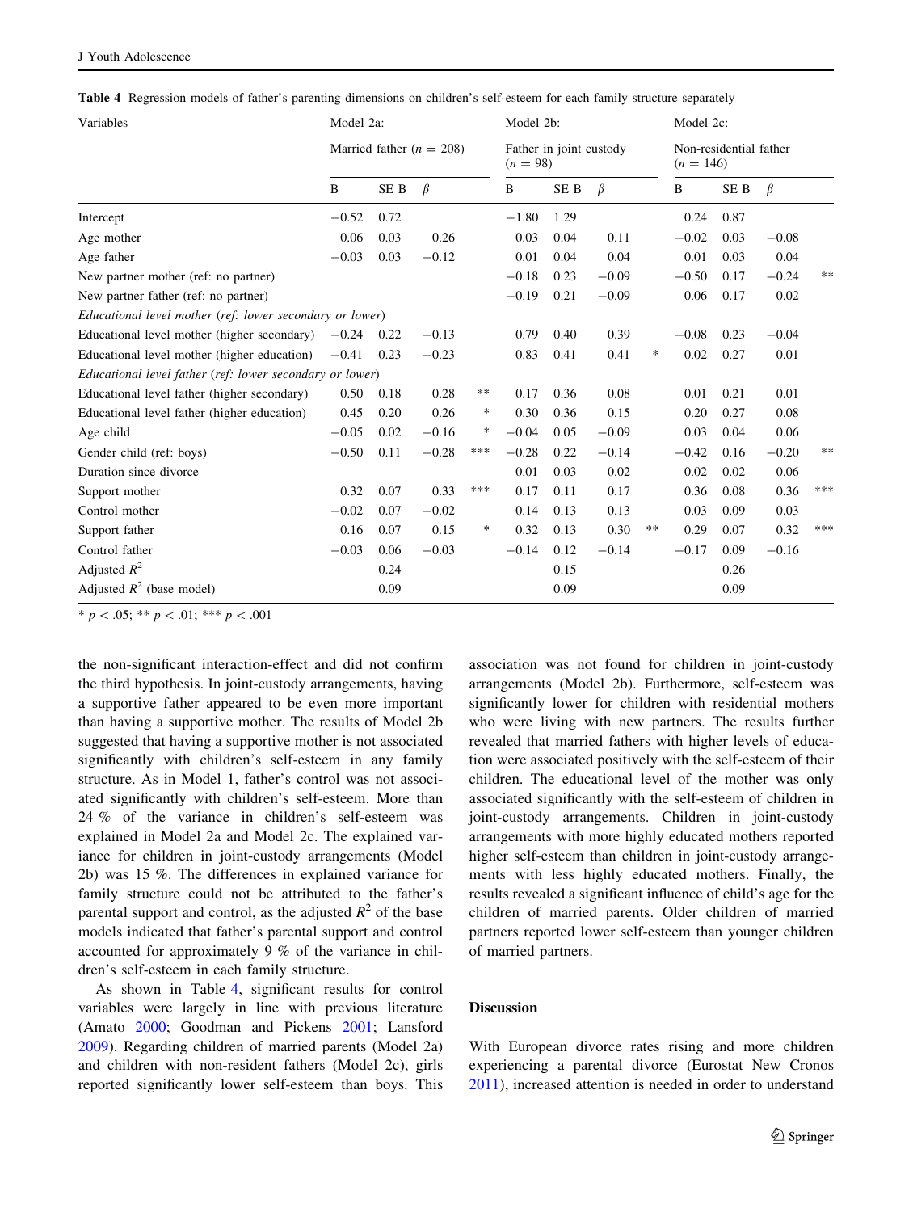<span id="page-9-0"></span>Table 4 Regression models of father's parenting dimensions on children's self-esteem for each family structure separately

| Variables                                                | Model 2a:                    |      |         |                                       | Model 2b: |      |         |    | Model 2c:<br>Non-residential father<br>$(n = 146)$ |      |         |     |
|----------------------------------------------------------|------------------------------|------|---------|---------------------------------------|-----------|------|---------|----|----------------------------------------------------|------|---------|-----|
|                                                          | Married father ( $n = 208$ ) |      |         | Father in joint custody<br>$(n = 98)$ |           |      |         |    |                                                    |      |         |     |
|                                                          | B                            | SE B | $\beta$ |                                       | B         | SE B | $\beta$ |    | B                                                  | SE B | $\beta$ |     |
| Intercept                                                | $-0.52$                      | 0.72 |         |                                       | $-1.80$   | 1.29 |         |    | 0.24                                               | 0.87 |         |     |
| Age mother                                               | 0.06                         | 0.03 | 0.26    |                                       | 0.03      | 0.04 | 0.11    |    | $-0.02$                                            | 0.03 | $-0.08$ |     |
| Age father                                               | $-0.03$                      | 0.03 | $-0.12$ |                                       | 0.01      | 0.04 | 0.04    |    | 0.01                                               | 0.03 | 0.04    |     |
| New partner mother (ref: no partner)                     |                              |      |         |                                       | $-0.18$   | 0.23 | $-0.09$ |    | $-0.50$                                            | 0.17 | $-0.24$ | **  |
| New partner father (ref: no partner)                     |                              |      |         |                                       | $-0.19$   | 0.21 | $-0.09$ |    | 0.06                                               | 0.17 | 0.02    |     |
| Educational level mother (ref: lower secondary or lower) |                              |      |         |                                       |           |      |         |    |                                                    |      |         |     |
| Educational level mother (higher secondary)              | $-0.24$                      | 0.22 | $-0.13$ |                                       | 0.79      | 0.40 | 0.39    |    | $-0.08$                                            | 0.23 | $-0.04$ |     |
| Educational level mother (higher education)              | $-0.41$                      | 0.23 | $-0.23$ |                                       | 0.83      | 0.41 | 0.41    | ∗  | 0.02                                               | 0.27 | 0.01    |     |
| Educational level father (ref: lower secondary or lower) |                              |      |         |                                       |           |      |         |    |                                                    |      |         |     |
| Educational level father (higher secondary)              | 0.50                         | 0.18 | 0.28    | **                                    | 0.17      | 0.36 | 0.08    |    | 0.01                                               | 0.21 | 0.01    |     |
| Educational level father (higher education)              | 0.45                         | 0.20 | 0.26    | ∗                                     | 0.30      | 0.36 | 0.15    |    | 0.20                                               | 0.27 | 0.08    |     |
| Age child                                                | $-0.05$                      | 0.02 | $-0.16$ | $\ast$                                | $-0.04$   | 0.05 | $-0.09$ |    | 0.03                                               | 0.04 | 0.06    |     |
| Gender child (ref: boys)                                 | $-0.50$                      | 0.11 | $-0.28$ | ***                                   | $-0.28$   | 0.22 | $-0.14$ |    | $-0.42$                                            | 0.16 | $-0.20$ | **  |
| Duration since divorce                                   |                              |      |         |                                       | 0.01      | 0.03 | 0.02    |    | 0.02                                               | 0.02 | 0.06    |     |
| Support mother                                           | 0.32                         | 0.07 | 0.33    | ***                                   | 0.17      | 0.11 | 0.17    |    | 0.36                                               | 0.08 | 0.36    | *** |
| Control mother                                           | $-0.02$                      | 0.07 | $-0.02$ |                                       | 0.14      | 0.13 | 0.13    |    | 0.03                                               | 0.09 | 0.03    |     |
| Support father                                           | 0.16                         | 0.07 | 0.15    | $\ast$                                | 0.32      | 0.13 | 0.30    | ** | 0.29                                               | 0.07 | 0.32    | *** |
| Control father                                           | $-0.03$                      | 0.06 | $-0.03$ |                                       | $-0.14$   | 0.12 | $-0.14$ |    | $-0.17$                                            | 0.09 | $-0.16$ |     |
| Adjusted $R^2$                                           |                              | 0.24 |         |                                       |           | 0.15 |         |    |                                                    | 0.26 |         |     |
| Adjusted $R^2$ (base model)                              |                              | 0.09 |         |                                       |           | 0.09 |         |    |                                                    | 0.09 |         |     |

 $* p < .05; ** p < .01; ** * p < .001$ 

the non-significant interaction-effect and did not confirm the third hypothesis. In joint-custody arrangements, having a supportive father appeared to be even more important than having a supportive mother. The results of Model 2b suggested that having a supportive mother is not associated significantly with children's self-esteem in any family structure. As in Model 1, father's control was not associated significantly with children's self-esteem. More than 24 % of the variance in children's self-esteem was explained in Model 2a and Model 2c. The explained variance for children in joint-custody arrangements (Model 2b) was 15 %. The differences in explained variance for family structure could not be attributed to the father's parental support and control, as the adjusted  $R^2$  of the base models indicated that father's parental support and control accounted for approximately 9 % of the variance in children's self-esteem in each family structure.

As shown in Table 4, significant results for control variables were largely in line with previous literature (Amato [2000](#page-12-0); Goodman and Pickens [2001](#page-13-0); Lansford [2009\)](#page-13-0). Regarding children of married parents (Model 2a) and children with non-resident fathers (Model 2c), girls reported significantly lower self-esteem than boys. This association was not found for children in joint-custody arrangements (Model 2b). Furthermore, self-esteem was significantly lower for children with residential mothers who were living with new partners. The results further revealed that married fathers with higher levels of education were associated positively with the self-esteem of their children. The educational level of the mother was only associated significantly with the self-esteem of children in joint-custody arrangements. Children in joint-custody arrangements with more highly educated mothers reported higher self-esteem than children in joint-custody arrangements with less highly educated mothers. Finally, the results revealed a significant influence of child's age for the children of married parents. Older children of married partners reported lower self-esteem than younger children of married partners.

#### Discussion

With European divorce rates rising and more children experiencing a parental divorce (Eurostat New Cronos [2011](#page-13-0)), increased attention is needed in order to understand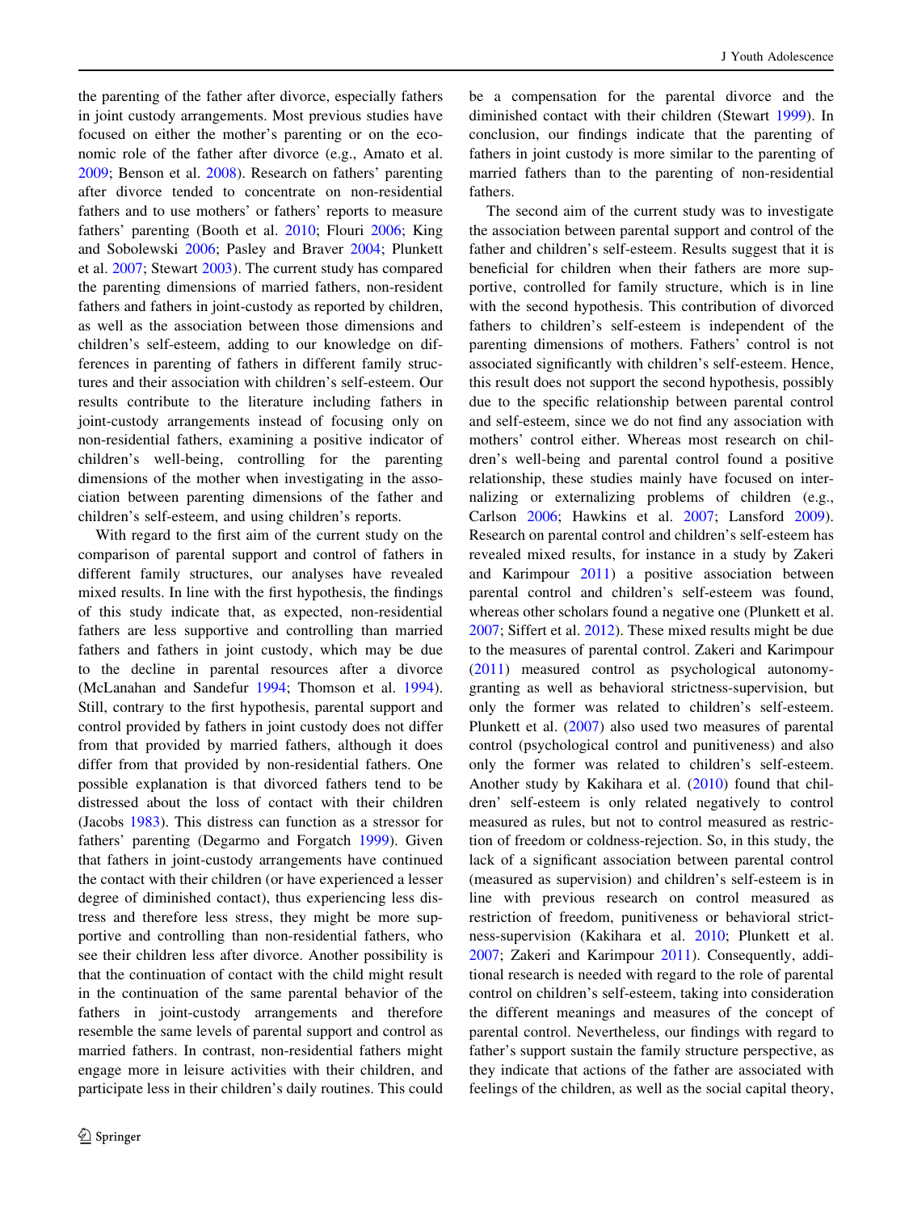the parenting of the father after divorce, especially fathers in joint custody arrangements. Most previous studies have focused on either the mother's parenting or on the economic role of the father after divorce (e.g., Amato et al. [2009;](#page-12-0) Benson et al. [2008](#page-12-0)). Research on fathers' parenting after divorce tended to concentrate on non-residential fathers and to use mothers' or fathers' reports to measure fathers' parenting (Booth et al. [2010](#page-12-0); Flouri [2006;](#page-13-0) King and Sobolewski [2006;](#page-13-0) Pasley and Braver [2004;](#page-14-0) Plunkett et al. [2007](#page-14-0); Stewart [2003\)](#page-14-0). The current study has compared the parenting dimensions of married fathers, non-resident fathers and fathers in joint-custody as reported by children, as well as the association between those dimensions and children's self-esteem, adding to our knowledge on differences in parenting of fathers in different family structures and their association with children's self-esteem. Our results contribute to the literature including fathers in joint-custody arrangements instead of focusing only on non-residential fathers, examining a positive indicator of children's well-being, controlling for the parenting dimensions of the mother when investigating in the association between parenting dimensions of the father and children's self-esteem, and using children's reports.

With regard to the first aim of the current study on the comparison of parental support and control of fathers in different family structures, our analyses have revealed mixed results. In line with the first hypothesis, the findings of this study indicate that, as expected, non-residential fathers are less supportive and controlling than married fathers and fathers in joint custody, which may be due to the decline in parental resources after a divorce (McLanahan and Sandefur [1994;](#page-14-0) Thomson et al. [1994](#page-14-0)). Still, contrary to the first hypothesis, parental support and control provided by fathers in joint custody does not differ from that provided by married fathers, although it does differ from that provided by non-residential fathers. One possible explanation is that divorced fathers tend to be distressed about the loss of contact with their children (Jacobs [1983\)](#page-13-0). This distress can function as a stressor for fathers' parenting (Degarmo and Forgatch [1999](#page-13-0)). Given that fathers in joint-custody arrangements have continued the contact with their children (or have experienced a lesser degree of diminished contact), thus experiencing less distress and therefore less stress, they might be more supportive and controlling than non-residential fathers, who see their children less after divorce. Another possibility is that the continuation of contact with the child might result in the continuation of the same parental behavior of the fathers in joint-custody arrangements and therefore resemble the same levels of parental support and control as married fathers. In contrast, non-residential fathers might engage more in leisure activities with their children, and participate less in their children's daily routines. This could be a compensation for the parental divorce and the diminished contact with their children (Stewart [1999](#page-14-0)). In conclusion, our findings indicate that the parenting of fathers in joint custody is more similar to the parenting of married fathers than to the parenting of non-residential fathers.

The second aim of the current study was to investigate the association between parental support and control of the father and children's self-esteem. Results suggest that it is beneficial for children when their fathers are more supportive, controlled for family structure, which is in line with the second hypothesis. This contribution of divorced fathers to children's self-esteem is independent of the parenting dimensions of mothers. Fathers' control is not associated significantly with children's self-esteem. Hence, this result does not support the second hypothesis, possibly due to the specific relationship between parental control and self-esteem, since we do not find any association with mothers' control either. Whereas most research on children's well-being and parental control found a positive relationship, these studies mainly have focused on internalizing or externalizing problems of children (e.g., Carlson [2006;](#page-13-0) Hawkins et al. [2007](#page-13-0); Lansford [2009](#page-13-0)). Research on parental control and children's self-esteem has revealed mixed results, for instance in a study by Zakeri and Karimpour [2011\)](#page-14-0) a positive association between parental control and children's self-esteem was found, whereas other scholars found a negative one (Plunkett et al. [2007](#page-14-0); Siffert et al. [2012](#page-14-0)). These mixed results might be due to the measures of parental control. Zakeri and Karimpour [\(2011](#page-14-0)) measured control as psychological autonomygranting as well as behavioral strictness-supervision, but only the former was related to children's self-esteem. Plunkett et al. [\(2007](#page-14-0)) also used two measures of parental control (psychological control and punitiveness) and also only the former was related to children's self-esteem. Another study by Kakihara et al. ([2010\)](#page-13-0) found that children' self-esteem is only related negatively to control measured as rules, but not to control measured as restriction of freedom or coldness-rejection. So, in this study, the lack of a significant association between parental control (measured as supervision) and children's self-esteem is in line with previous research on control measured as restriction of freedom, punitiveness or behavioral strictness-supervision (Kakihara et al. [2010](#page-13-0); Plunkett et al. [2007](#page-14-0); Zakeri and Karimpour [2011](#page-14-0)). Consequently, additional research is needed with regard to the role of parental control on children's self-esteem, taking into consideration the different meanings and measures of the concept of parental control. Nevertheless, our findings with regard to father's support sustain the family structure perspective, as they indicate that actions of the father are associated with feelings of the children, as well as the social capital theory,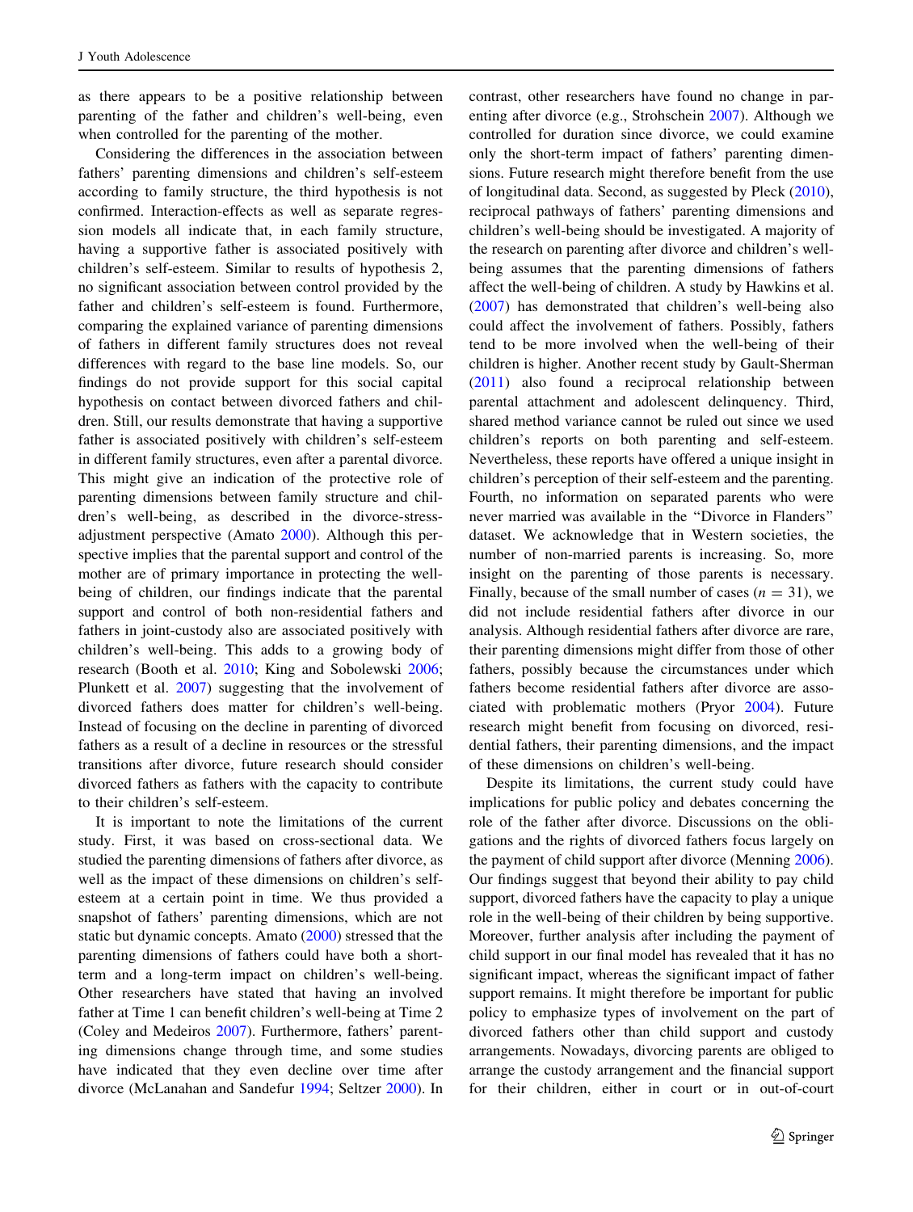as there appears to be a positive relationship between parenting of the father and children's well-being, even when controlled for the parenting of the mother.

Considering the differences in the association between fathers' parenting dimensions and children's self-esteem according to family structure, the third hypothesis is not confirmed. Interaction-effects as well as separate regression models all indicate that, in each family structure, having a supportive father is associated positively with children's self-esteem. Similar to results of hypothesis 2, no significant association between control provided by the father and children's self-esteem is found. Furthermore, comparing the explained variance of parenting dimensions of fathers in different family structures does not reveal differences with regard to the base line models. So, our findings do not provide support for this social capital hypothesis on contact between divorced fathers and children. Still, our results demonstrate that having a supportive father is associated positively with children's self-esteem in different family structures, even after a parental divorce. This might give an indication of the protective role of parenting dimensions between family structure and children's well-being, as described in the divorce-stressadjustment perspective (Amato [2000](#page-12-0)). Although this perspective implies that the parental support and control of the mother are of primary importance in protecting the wellbeing of children, our findings indicate that the parental support and control of both non-residential fathers and fathers in joint-custody also are associated positively with children's well-being. This adds to a growing body of research (Booth et al. [2010;](#page-12-0) King and Sobolewski [2006](#page-13-0); Plunkett et al. [2007\)](#page-14-0) suggesting that the involvement of divorced fathers does matter for children's well-being. Instead of focusing on the decline in parenting of divorced fathers as a result of a decline in resources or the stressful transitions after divorce, future research should consider divorced fathers as fathers with the capacity to contribute to their children's self-esteem.

It is important to note the limitations of the current study. First, it was based on cross-sectional data. We studied the parenting dimensions of fathers after divorce, as well as the impact of these dimensions on children's selfesteem at a certain point in time. We thus provided a snapshot of fathers' parenting dimensions, which are not static but dynamic concepts. Amato ([2000\)](#page-12-0) stressed that the parenting dimensions of fathers could have both a shortterm and a long-term impact on children's well-being. Other researchers have stated that having an involved father at Time 1 can benefit children's well-being at Time 2 (Coley and Medeiros [2007](#page-13-0)). Furthermore, fathers' parenting dimensions change through time, and some studies have indicated that they even decline over time after divorce (McLanahan and Sandefur [1994](#page-14-0); Seltzer [2000\)](#page-14-0). In enting after divorce (e.g., Strohschein [2007\)](#page-14-0). Although we controlled for duration since divorce, we could examine only the short-term impact of fathers' parenting dimensions. Future research might therefore benefit from the use of longitudinal data. Second, as suggested by Pleck [\(2010](#page-14-0)), reciprocal pathways of fathers' parenting dimensions and children's well-being should be investigated. A majority of the research on parenting after divorce and children's wellbeing assumes that the parenting dimensions of fathers affect the well-being of children. A study by Hawkins et al. [\(2007](#page-13-0)) has demonstrated that children's well-being also could affect the involvement of fathers. Possibly, fathers tend to be more involved when the well-being of their children is higher. Another recent study by Gault-Sherman [\(2011](#page-13-0)) also found a reciprocal relationship between parental attachment and adolescent delinquency. Third, shared method variance cannot be ruled out since we used children's reports on both parenting and self-esteem. Nevertheless, these reports have offered a unique insight in children's perception of their self-esteem and the parenting. Fourth, no information on separated parents who were never married was available in the ''Divorce in Flanders'' dataset. We acknowledge that in Western societies, the number of non-married parents is increasing. So, more insight on the parenting of those parents is necessary. Finally, because of the small number of cases  $(n = 31)$ , we did not include residential fathers after divorce in our analysis. Although residential fathers after divorce are rare, their parenting dimensions might differ from those of other fathers, possibly because the circumstances under which fathers become residential fathers after divorce are associated with problematic mothers (Pryor [2004\)](#page-14-0). Future research might benefit from focusing on divorced, residential fathers, their parenting dimensions, and the impact of these dimensions on children's well-being.

contrast, other researchers have found no change in par-

Despite its limitations, the current study could have implications for public policy and debates concerning the role of the father after divorce. Discussions on the obligations and the rights of divorced fathers focus largely on the payment of child support after divorce (Menning [2006](#page-14-0)). Our findings suggest that beyond their ability to pay child support, divorced fathers have the capacity to play a unique role in the well-being of their children by being supportive. Moreover, further analysis after including the payment of child support in our final model has revealed that it has no significant impact, whereas the significant impact of father support remains. It might therefore be important for public policy to emphasize types of involvement on the part of divorced fathers other than child support and custody arrangements. Nowadays, divorcing parents are obliged to arrange the custody arrangement and the financial support for their children, either in court or in out-of-court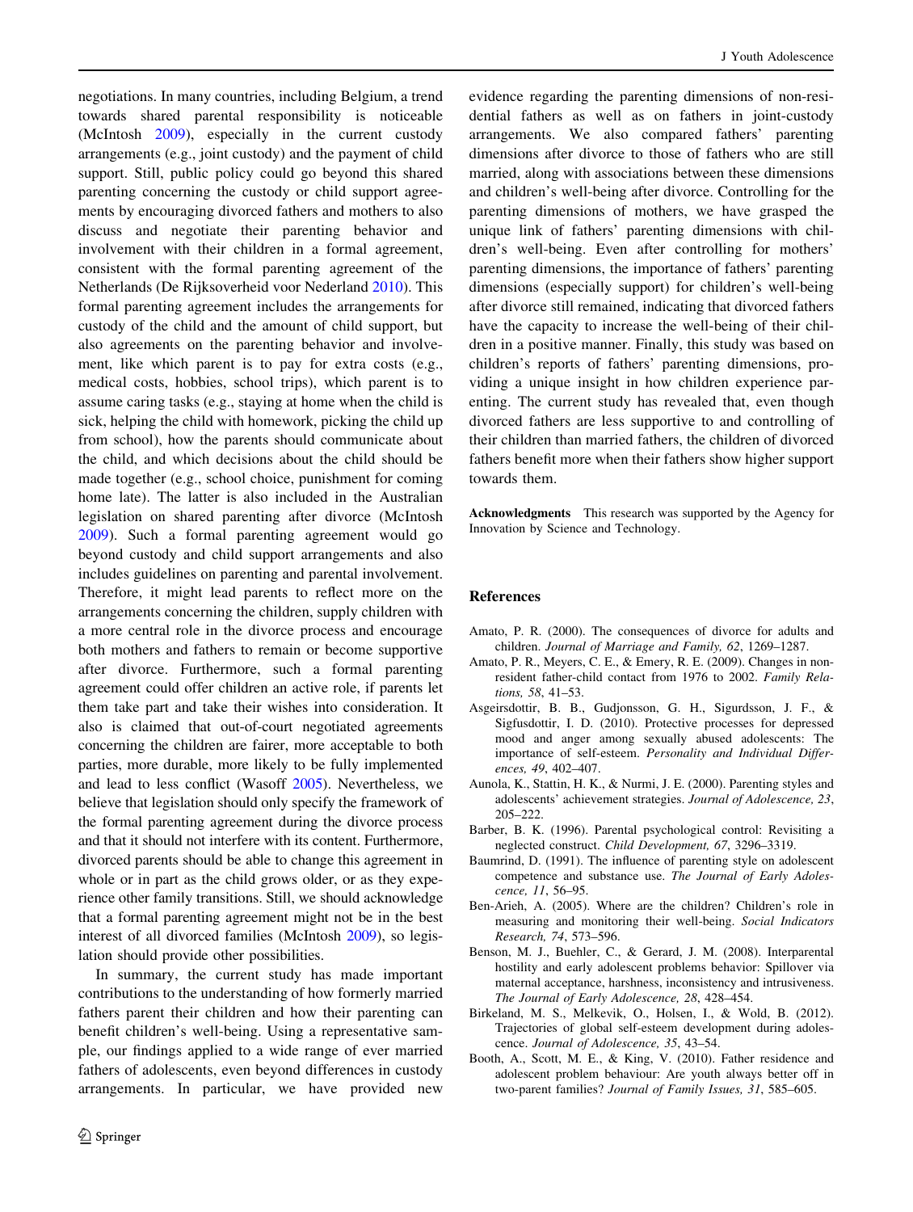<span id="page-12-0"></span>negotiations. In many countries, including Belgium, a trend towards shared parental responsibility is noticeable (McIntosh [2009](#page-13-0)), especially in the current custody arrangements (e.g., joint custody) and the payment of child support. Still, public policy could go beyond this shared parenting concerning the custody or child support agreements by encouraging divorced fathers and mothers to also discuss and negotiate their parenting behavior and involvement with their children in a formal agreement, consistent with the formal parenting agreement of the Netherlands (De Rijksoverheid voor Nederland [2010\)](#page-13-0). This formal parenting agreement includes the arrangements for custody of the child and the amount of child support, but also agreements on the parenting behavior and involvement, like which parent is to pay for extra costs (e.g., medical costs, hobbies, school trips), which parent is to assume caring tasks (e.g., staying at home when the child is sick, helping the child with homework, picking the child up from school), how the parents should communicate about the child, and which decisions about the child should be made together (e.g., school choice, punishment for coming home late). The latter is also included in the Australian legislation on shared parenting after divorce (McIntosh [2009\)](#page-13-0). Such a formal parenting agreement would go beyond custody and child support arrangements and also includes guidelines on parenting and parental involvement. Therefore, it might lead parents to reflect more on the arrangements concerning the children, supply children with a more central role in the divorce process and encourage both mothers and fathers to remain or become supportive after divorce. Furthermore, such a formal parenting agreement could offer children an active role, if parents let them take part and take their wishes into consideration. It also is claimed that out-of-court negotiated agreements concerning the children are fairer, more acceptable to both parties, more durable, more likely to be fully implemented and lead to less conflict (Wasoff [2005\)](#page-14-0). Nevertheless, we believe that legislation should only specify the framework of the formal parenting agreement during the divorce process and that it should not interfere with its content. Furthermore, divorced parents should be able to change this agreement in whole or in part as the child grows older, or as they experience other family transitions. Still, we should acknowledge that a formal parenting agreement might not be in the best interest of all divorced families (McIntosh [2009\)](#page-13-0), so legislation should provide other possibilities.

In summary, the current study has made important contributions to the understanding of how formerly married fathers parent their children and how their parenting can benefit children's well-being. Using a representative sample, our findings applied to a wide range of ever married fathers of adolescents, even beyond differences in custody arrangements. In particular, we have provided new

evidence regarding the parenting dimensions of non-residential fathers as well as on fathers in joint-custody arrangements. We also compared fathers' parenting dimensions after divorce to those of fathers who are still married, along with associations between these dimensions and children's well-being after divorce. Controlling for the parenting dimensions of mothers, we have grasped the unique link of fathers' parenting dimensions with children's well-being. Even after controlling for mothers' parenting dimensions, the importance of fathers' parenting dimensions (especially support) for children's well-being after divorce still remained, indicating that divorced fathers have the capacity to increase the well-being of their children in a positive manner. Finally, this study was based on children's reports of fathers' parenting dimensions, providing a unique insight in how children experience parenting. The current study has revealed that, even though divorced fathers are less supportive to and controlling of their children than married fathers, the children of divorced fathers benefit more when their fathers show higher support towards them.

Acknowledgments This research was supported by the Agency for Innovation by Science and Technology.

#### References

- Amato, P. R. (2000). The consequences of divorce for adults and children. Journal of Marriage and Family, 62, 1269–1287.
- Amato, P. R., Meyers, C. E., & Emery, R. E. (2009). Changes in nonresident father-child contact from 1976 to 2002. Family Relations, 58, 41–53.
- Asgeirsdottir, B. B., Gudjonsson, G. H., Sigurdsson, J. F., & Sigfusdottir, I. D. (2010). Protective processes for depressed mood and anger among sexually abused adolescents: The importance of self-esteem. Personality and Individual Differences, 49, 402–407.
- Aunola, K., Stattin, H. K., & Nurmi, J. E. (2000). Parenting styles and adolescents' achievement strategies. Journal of Adolescence, 23, 205–222.
- Barber, B. K. (1996). Parental psychological control: Revisiting a neglected construct. Child Development, 67, 3296–3319.
- Baumrind, D. (1991). The influence of parenting style on adolescent competence and substance use. The Journal of Early Adolescence, 11, 56–95.
- Ben-Arieh, A. (2005). Where are the children? Children's role in measuring and monitoring their well-being. Social Indicators Research, 74, 573–596.
- Benson, M. J., Buehler, C., & Gerard, J. M. (2008). Interparental hostility and early adolescent problems behavior: Spillover via maternal acceptance, harshness, inconsistency and intrusiveness. The Journal of Early Adolescence, 28, 428–454.
- Birkeland, M. S., Melkevik, O., Holsen, I., & Wold, B. (2012). Trajectories of global self-esteem development during adolescence. Journal of Adolescence, 35, 43–54.
- Booth, A., Scott, M. E., & King, V. (2010). Father residence and adolescent problem behaviour: Are youth always better off in two-parent families? Journal of Family Issues, 31, 585–605.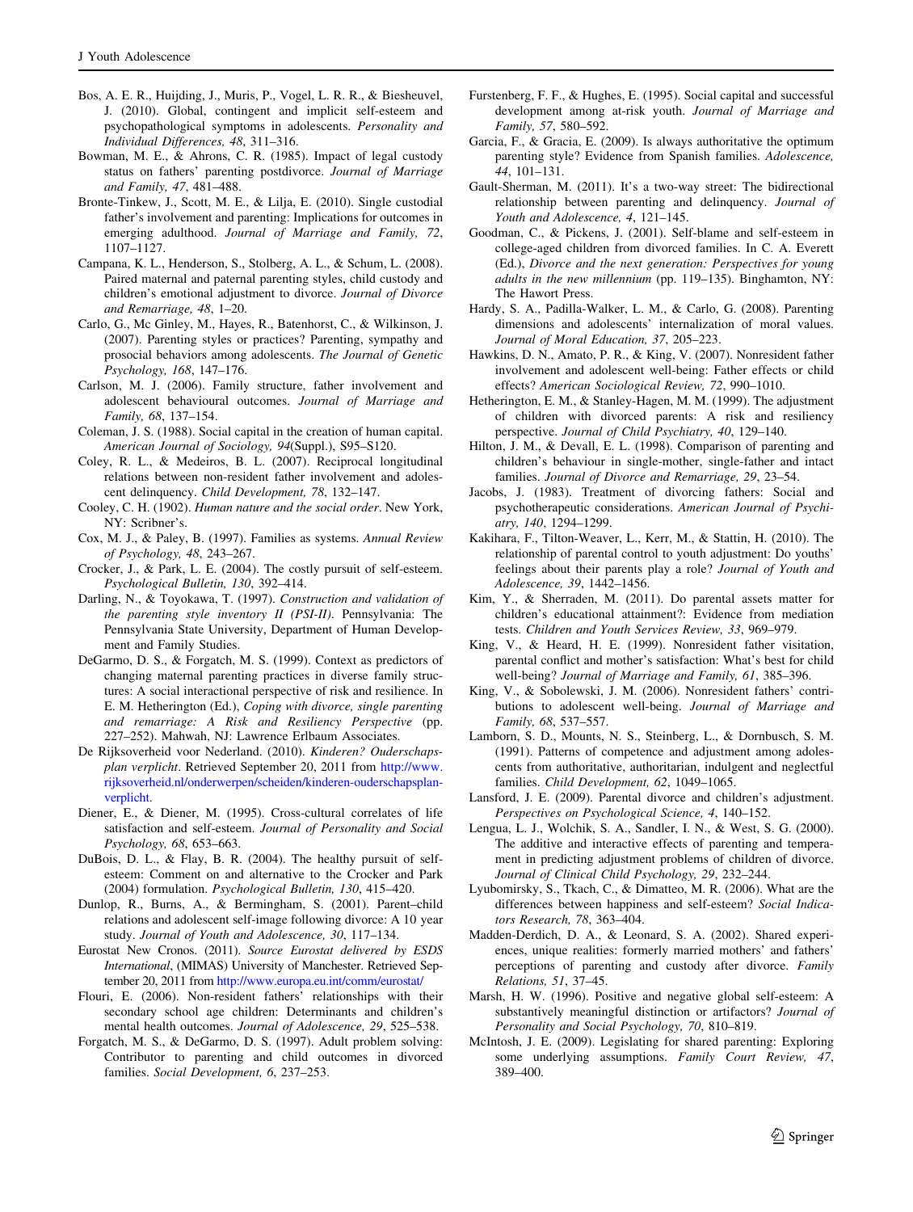- <span id="page-13-0"></span>Bos, A. E. R., Huijding, J., Muris, P., Vogel, L. R. R., & Biesheuvel, J. (2010). Global, contingent and implicit self-esteem and psychopathological symptoms in adolescents. Personality and Individual Differences, 48, 311–316.
- Bowman, M. E., & Ahrons, C. R. (1985). Impact of legal custody status on fathers' parenting postdivorce. Journal of Marriage and Family, 47, 481–488.
- Bronte-Tinkew, J., Scott, M. E., & Lilja, E. (2010). Single custodial father's involvement and parenting: Implications for outcomes in emerging adulthood. Journal of Marriage and Family, 72, 1107–1127.
- Campana, K. L., Henderson, S., Stolberg, A. L., & Schum, L. (2008). Paired maternal and paternal parenting styles, child custody and children's emotional adjustment to divorce. Journal of Divorce and Remarriage, 48, 1–20.
- Carlo, G., Mc Ginley, M., Hayes, R., Batenhorst, C., & Wilkinson, J. (2007). Parenting styles or practices? Parenting, sympathy and prosocial behaviors among adolescents. The Journal of Genetic Psychology, 168, 147–176.
- Carlson, M. J. (2006). Family structure, father involvement and adolescent behavioural outcomes. Journal of Marriage and Family, 68, 137–154.
- Coleman, J. S. (1988). Social capital in the creation of human capital. American Journal of Sociology, 94(Suppl.), S95–S120.
- Coley, R. L., & Medeiros, B. L. (2007). Reciprocal longitudinal relations between non-resident father involvement and adolescent delinquency. Child Development, 78, 132–147.
- Cooley, C. H. (1902). Human nature and the social order. New York, NY: Scribner's.
- Cox, M. J., & Paley, B. (1997). Families as systems. Annual Review of Psychology, 48, 243–267.
- Crocker, J., & Park, L. E. (2004). The costly pursuit of self-esteem. Psychological Bulletin, 130, 392–414.
- Darling, N., & Toyokawa, T. (1997). Construction and validation of the parenting style inventory II (PSI-II). Pennsylvania: The Pennsylvania State University, Department of Human Development and Family Studies.
- DeGarmo, D. S., & Forgatch, M. S. (1999). Context as predictors of changing maternal parenting practices in diverse family structures: A social interactional perspective of risk and resilience. In E. M. Hetherington (Ed.), Coping with divorce, single parenting and remarriage: A Risk and Resiliency Perspective (pp. 227–252). Mahwah, NJ: Lawrence Erlbaum Associates.
- De Rijksoverheid voor Nederland. (2010). Kinderen? Ouderschapsplan verplicht. Retrieved September 20, 2011 from [http://www.](http://www.rijksoverheid.nl/onderwerpen/scheiden/kinderen-ouderschapsplan-verplicht) [rijksoverheid.nl/onderwerpen/scheiden/kinderen-ouderschapsplan](http://www.rijksoverheid.nl/onderwerpen/scheiden/kinderen-ouderschapsplan-verplicht)[verplicht.](http://www.rijksoverheid.nl/onderwerpen/scheiden/kinderen-ouderschapsplan-verplicht)
- Diener, E., & Diener, M. (1995). Cross-cultural correlates of life satisfaction and self-esteem. Journal of Personality and Social Psychology, 68, 653–663.
- DuBois, D. L., & Flay, B. R. (2004). The healthy pursuit of selfesteem: Comment on and alternative to the Crocker and Park (2004) formulation. Psychological Bulletin, 130, 415–420.
- Dunlop, R., Burns, A., & Bermingham, S. (2001). Parent–child relations and adolescent self-image following divorce: A 10 year study. Journal of Youth and Adolescence, 30, 117–134.
- Eurostat New Cronos. (2011). Source Eurostat delivered by ESDS International, (MIMAS) University of Manchester. Retrieved September 20, 2011 from <http://www.europa.eu.int/comm/eurostat/>
- Flouri, E. (2006). Non-resident fathers' relationships with their secondary school age children: Determinants and children's mental health outcomes. Journal of Adolescence, 29, 525–538.
- Forgatch, M. S., & DeGarmo, D. S. (1997). Adult problem solving: Contributor to parenting and child outcomes in divorced families. Social Development, 6, 237–253.
- Furstenberg, F. F., & Hughes, E. (1995). Social capital and successful development among at-risk youth. Journal of Marriage and Family, 57, 580–592.
- Garcia, F., & Gracia, E. (2009). Is always authoritative the optimum parenting style? Evidence from Spanish families. Adolescence, 44, 101–131.
- Gault-Sherman, M. (2011). It's a two-way street: The bidirectional relationship between parenting and delinquency. Journal of Youth and Adolescence, 4, 121–145.
- Goodman, C., & Pickens, J. (2001). Self-blame and self-esteem in college-aged children from divorced families. In C. A. Everett (Ed.), Divorce and the next generation: Perspectives for young adults in the new millennium (pp. 119–135). Binghamton, NY: The Hawort Press.
- Hardy, S. A., Padilla-Walker, L. M., & Carlo, G. (2008). Parenting dimensions and adolescents' internalization of moral values. Journal of Moral Education, 37, 205–223.
- Hawkins, D. N., Amato, P. R., & King, V. (2007). Nonresident father involvement and adolescent well-being: Father effects or child effects? American Sociological Review, 72, 990–1010.
- Hetherington, E. M., & Stanley-Hagen, M. M. (1999). The adjustment of children with divorced parents: A risk and resiliency perspective. Journal of Child Psychiatry, 40, 129–140.
- Hilton, J. M., & Devall, E. L. (1998). Comparison of parenting and children's behaviour in single-mother, single-father and intact families. Journal of Divorce and Remarriage, 29, 23–54.
- Jacobs, J. (1983). Treatment of divorcing fathers: Social and psychotherapeutic considerations. American Journal of Psychiatry, 140, 1294–1299.
- Kakihara, F., Tilton-Weaver, L., Kerr, M., & Stattin, H. (2010). The relationship of parental control to youth adjustment: Do youths' feelings about their parents play a role? Journal of Youth and Adolescence, 39, 1442–1456.
- Kim, Y., & Sherraden, M. (2011). Do parental assets matter for children's educational attainment?: Evidence from mediation tests. Children and Youth Services Review, 33, 969–979.
- King, V., & Heard, H. E. (1999). Nonresident father visitation, parental conflict and mother's satisfaction: What's best for child well-being? Journal of Marriage and Family, 61, 385–396.
- King, V., & Sobolewski, J. M. (2006). Nonresident fathers' contributions to adolescent well-being. Journal of Marriage and Family, 68, 537–557.
- Lamborn, S. D., Mounts, N. S., Steinberg, L., & Dornbusch, S. M. (1991). Patterns of competence and adjustment among adolescents from authoritative, authoritarian, indulgent and neglectful families. Child Development, 62, 1049–1065.
- Lansford, J. E. (2009). Parental divorce and children's adjustment. Perspectives on Psychological Science, 4, 140–152.
- Lengua, L. J., Wolchik, S. A., Sandler, I. N., & West, S. G. (2000). The additive and interactive effects of parenting and temperament in predicting adjustment problems of children of divorce. Journal of Clinical Child Psychology, 29, 232–244.
- Lyubomirsky, S., Tkach, C., & Dimatteo, M. R. (2006). What are the differences between happiness and self-esteem? Social Indicators Research, 78, 363–404.
- Madden-Derdich, D. A., & Leonard, S. A. (2002). Shared experiences, unique realities: formerly married mothers' and fathers' perceptions of parenting and custody after divorce. Family Relations, 51, 37–45.
- Marsh, H. W. (1996). Positive and negative global self-esteem: A substantively meaningful distinction or artifactors? Journal of Personality and Social Psychology, 70, 810–819.
- McIntosh, J. E. (2009). Legislating for shared parenting: Exploring some underlying assumptions. Family Court Review, 47, 389–400.